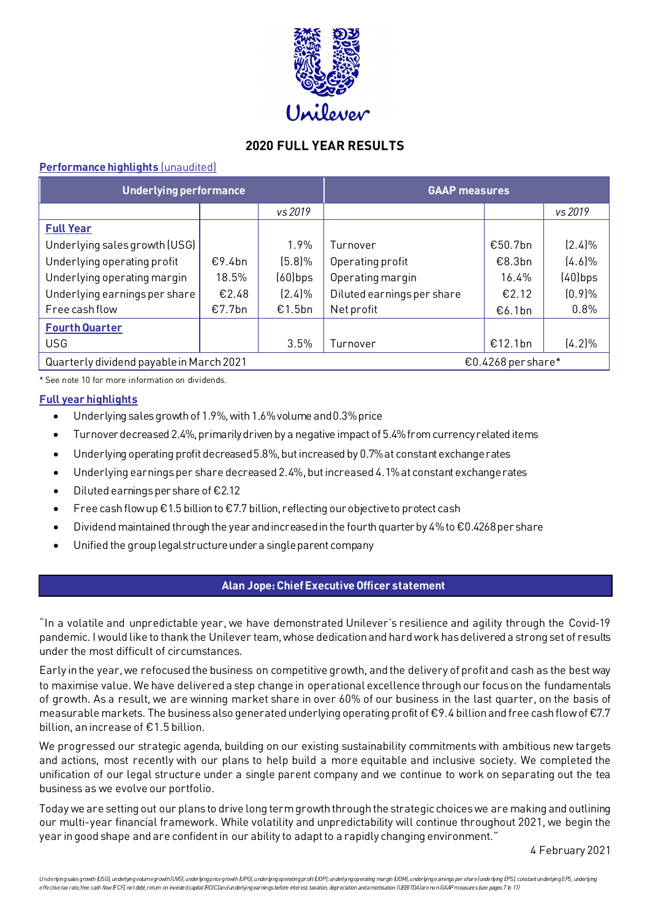

# **2020 FULL YEAR RESULTS**

# **Performance highlights** (unaudited)

| <b>Underlying performance</b>                                  |        |            | <b>GAAP</b> measures       |         |            |  |
|----------------------------------------------------------------|--------|------------|----------------------------|---------|------------|--|
|                                                                |        | vs 2019    |                            |         | vs 2019    |  |
| <b>Full Year</b>                                               |        |            |                            |         |            |  |
| Underlying sales growth (USG)                                  |        | 1.9%       | Turnover                   | €50.7bn | $(2.4)\%$  |  |
| Underlying operating profit                                    | €9.4bn | $(5.8)\%$  | Operating profit           | €8.3bn  | $(4.6)\%$  |  |
| Underlying operating margin                                    | 18.5%  | $(60)$ bps | Operating margin           | 16.4%   | $(40)$ bps |  |
| Underlying earnings per share                                  | €2.48  | $(2.4)\%$  | Diluted earnings per share | €2.12   | (0.9%      |  |
| Free cash flow                                                 | €7.7bn | €1.5bn     | Netprofit                  | €6.1bn  | 0.8%       |  |
| <b>Fourth Quarter</b>                                          |        |            |                            |         |            |  |
| <b>USG</b>                                                     |        | 3.5%       | Turnover                   | €12.1bn | $(4.2)\%$  |  |
| Quarterly dividend payable in March 2021<br>€0.4268 per share* |        |            |                            |         |            |  |

\* See note 10 for more information on dividends.

# **Full year highlights**

- Underlying sales growth of 1.9%, with 1.6% volume and 0.3% price
- Turnover decreased 2.4%, primarily driven by a negative impact of 5.4% from currencyrelated items
- Underlying operating profit decreased 5.8%, but increased by 0.7% at constant exchange rates
- Underlying earnings per share decreased 2.4%, but increased 4.1%at constant exchange rates
- Diluted earnings per share of €2.12
- Free cash flow up  $\epsilon$ 1.5 billion to  $\epsilon$ 7.7 billion, reflecting our objective to protect cash
- Dividend maintained through the year and increased in the fourth quarter by 4% to  $\epsilon$ 0.4268 per share
- Unified the group legal structure under a single parent company

# **Alan Jope: Chief Executive Officer statement**

"In a volatile and unpredictable year, we have demonstrated Unilever's resilience and agility through the Covid-19 pandemic. I would like to thank the Unilever team, whose dedication and hard work has delivered a strong set of results under the most difficult of circumstances.

Early in the year,we refocused the business on competitive growth, and the delivery of profit and cash as the best way to maximise value. We have delivered a step change in operational excellence through our focus on the fundamentals of growth. As a result, we are winning market share in over 60% of our business in the last quarter, on the basis of measurable markets. The business also generated underlying operating profit of €9.4 billion and free cash flow of €7.7 billion, an increase of €1.5 billion.

We progressed our strategic agenda, building on our existing sustainability commitments with ambitious new targets and actions, most recently with our plans to help build a more equitable and inclusive society. We completed the unification of our legal structure under a single parent company and we continue to work on separating out the tea business as we evolve our portfolio.

Today we are setting out our plans to drive long term growth through the strategic choices we are making and outlining our multi-year financial framework. While volatility and unpredictability will continue throughout 2021, we begin the year in good shape and are confident in our ability to adapt to a rapidly changing environment."

4 February 2021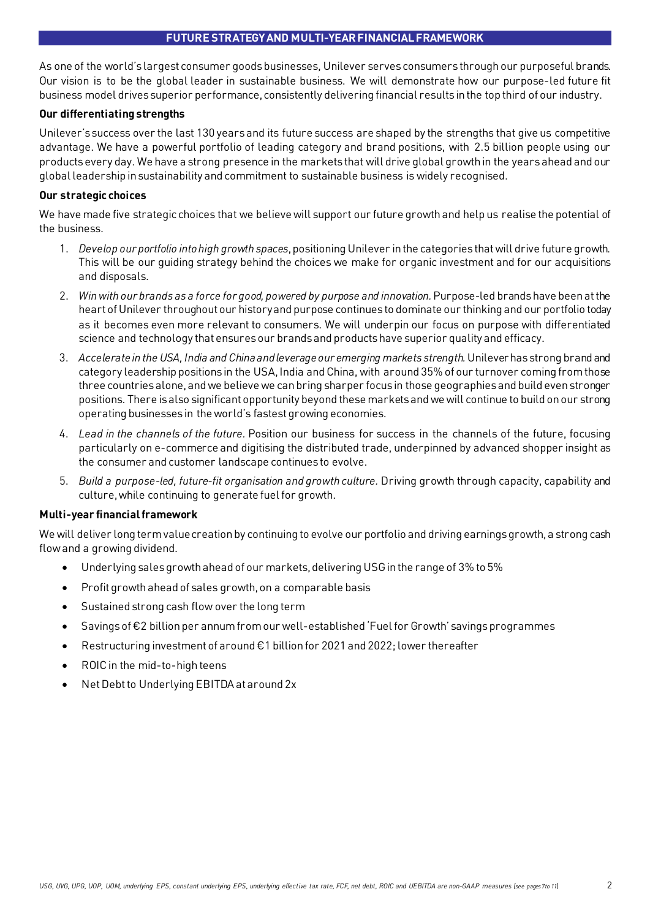## **FUTURE STRATEGY AND MULTI-YEAR FINANCIAL FRAMEWORK**

As one of the world's largest consumer goods businesses, Unilever serves consumers through our purposeful brands. Our vision is to be the global leader in sustainable business. We will demonstrate how our purpose-led future fit business model drives superior performance, consistently delivering financial results in the top third of our industry.

## **Our differentiating strengths**

Unilever'ssuccess over the last 130 yearsand its future success are shaped by the strengths that give us competitive advantage. We have a powerful portfolio of leading category and brand positions, with 2.5 billion people using our products every day. We have a strong presence in the markets that will drive global growth in the years ahead and our global leadership in sustainability and commitment to sustainable business is widely recognised.

## **Our strategic choices**

We have made five strategic choices that we believe will support our future growth and help us realise the potential of the business.

- 1. *Develop our portfolio into high growth spaces*, positioning Unilever in the categories that will drive future growth. This will be our guiding strategy behind the choices we make for organic investment and for our acquisitions and disposals.
- 2. *Win with our brands as a force for good, powered by purpose and innovation.*Purpose-led brands have been at the heart of Unilever throughout our history and purpose continues to dominate our thinking and our portfolio today as it becomes even more relevant to consumers. We will underpin our focus on purpose with differentiated science and technology that ensures our brands and products have superior quality and efficacy.
- 3. *Accelerate in the USA, India and China and leverage our emerging markets strength.* Unilever has strong brand and category leadership positions in the USA, India and China, with around 35% of our turnover coming from those three countries alone, and we believe we can bring sharper focus in those geographies and build even stronger positions. There is also significant opportunity beyond these markets and we will continue to build on our strong operating businesses in the world's fastest growing economies.
- 4. *Lead in the channels of the future.* Position our business for success in the channels of the future, focusing particularly on e-commerce and digitising the distributed trade, underpinned by advanced shopper insight as the consumer and customer landscape continues to evolve.
- 5. *Build a purpose-led, future-fit organisation and growth culture.* Driving growth through capacity, capability and culture, while continuing to generate fuel for growth.

## **Multi-year financial framework**

We will deliver long term value creation by continuing to evolve our portfolio and driving earnings growth, a strong cash flow and a growing dividend.

- Underlying sales growth ahead of our markets, delivering USGin the range of 3% to 5%
- Profit growth ahead of sales growth, on a comparable basis
- Sustained strong cash flow over the long term
- Savings of €2 billion per annum from our well-established 'Fuel for Growth'savings programmes
- Restructuring investment of around €1 billion for 2021 and 2022; lower thereafter
- ROIC in the mid-to-high teens
- Net Debt to Underlying EBITDA at around 2x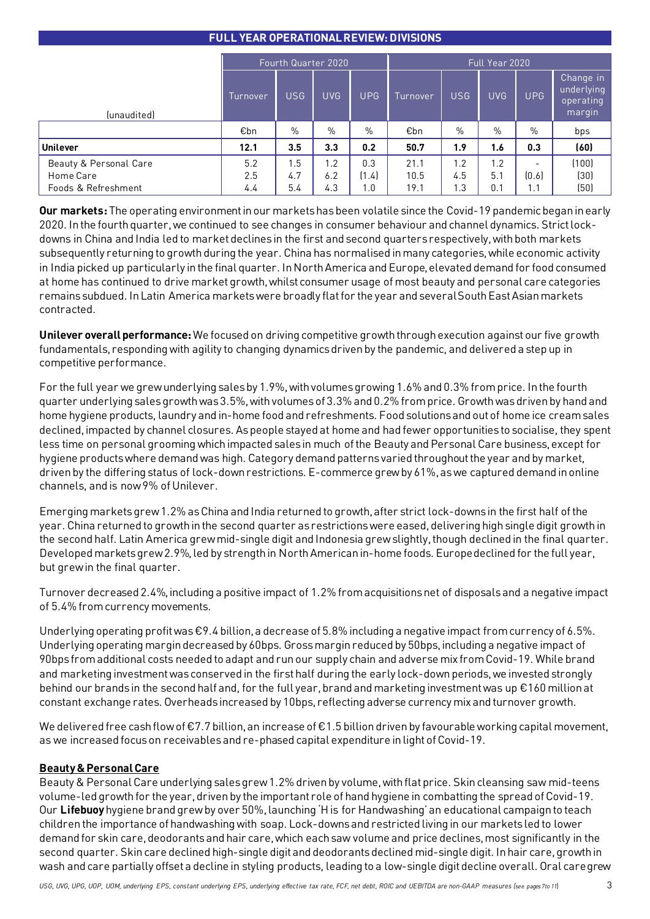## **FULL YEAR OPERATIONAL REVIEW: DIVISIONS**

|                        | Fourth Quarter 2020 |            |            |            |          |               | Full Year 2020 |            |                                                |
|------------------------|---------------------|------------|------------|------------|----------|---------------|----------------|------------|------------------------------------------------|
| (unaudited)            | Turnover            | <b>USG</b> | <b>UVG</b> | <b>UPG</b> | Turnover | <b>USG</b>    | <b>UVG</b>     | <b>UPG</b> | Change in<br>underlying<br>operating<br>margin |
|                        | €bn                 | $\%$       | $\%$       | $\%$       | €bn      | $\frac{1}{2}$ | $\%$           | %          |                                                |
|                        |                     |            |            |            |          |               |                |            | bps                                            |
| Unilever               | 12.1                | 3.5        | 3.3        | 0.2        | 50.7     | 1.9           | 1.6            | 0.3        | (60)                                           |
| Beauty & Personal Care | 5.2                 | 1.5        | 1.2        | 0.3        | 21.1     | 1.2           | 1.2            |            | (100)                                          |
| Home Care              | 2.5                 | 4.7        | 6.2        | (1.4)      | 10.5     | 4.5           | 5.1            | [0.6]      | (30)                                           |
| Foods & Refreshment    | 4.4                 | 5.4        | 4.3        | 1.0        | 19.1     | 1.3           | 0.1            | 1.1        | (50)                                           |

**Our markets:** The operating environment in our markets has been volatile since the Covid-19 pandemic began in early 2020. In the fourth quarter, we continued to see changes in consumer behaviour and channel dynamics. Strict lockdowns in China and India led to market declines in the first and second quarters respectively, with both markets subsequently returning to growth during the year. China has normalised in many categories, while economic activity in India picked up particularly in the final quarter. In North America and Europe, elevated demand for food consumed at home has continued to drive market growth, whilst consumer usage of most beauty and personal care categories remains subdued. In Latin America markets were broadly flat for the year and several South East Asian markets contracted.

**Unilever overall performance:** We focused on driving competitive growth through execution against our five growth fundamentals, responding with agility to changing dynamics driven by the pandemic, and delivered a step up in competitive performance.

For the full year we grew underlying sales by 1.9%, with volumes growing 1.6% and 0.3% from price. In the fourth quarter underlying salesgrowth was 3.5%, with volumes of 3.3% and 0.2% from price. Growth was driven by hand and home hygiene products, laundry and in-home food and refreshments. Food solutionsand out of home ice cream sales declined, impacted by channel closures. As people stayed at home and had fewer opportunities to socialise, they spent less time on personal grooming which impacted sales in much of the Beauty and Personal Care business, except for hygiene productswhere demand was high. Category demand patterns varied throughout the year and by market, driven by the differing status of lock-down restrictions. E-commerce grew by 61%, as we captured demand in online channels, and is now 9% of Unilever.

Emerging markets grew 1.2% as China and India returned to growth, after strict lock-downs in the first half of the year. China returned to growth in the second quarter as restrictions were eased, delivering high single digit growth in the second half. Latin America grew mid-single digit and Indonesia grew slightly, though declined in the final quarter. Developed markets grew 2.9%, led by strength in North American in-home foods. Europe declined for the full year, but grewin the final quarter.

Turnover decreased 2.4%, including a positive impact of 1.2% from acquisitions net of disposals and a negative impact of 5.4% from currency movements.

Underlying operating profit was €9.4 billion, a decrease of 5.8% including a negative impact from currency of 6.5%. Underlying operating margin decreased by 60bps. Gross margin reduced by 50bps, including a negative impact of 90bpsfrom additional costs needed to adapt and run our supply chain and adverse mix from Covid-19. While brand and marketing investment was conserved in the first half during the early lock-down periods, we invested strongly behind our brands in the second half and, for the full year, brand and marketing investment was up €160 millionat constant exchange rates. Overheads increased by 10bps, reflecting adverse currency mix and turnover growth.

We delivered free cash flow of €7.7 billion, an increase of €1.5 billion driven by favourable working capital movement, as we increased focus on receivables and re-phased capital expenditure in light ofCovid-19.

# **Beauty& Personal Care**

Beauty & Personal Care underlying sales grew 1.2% driven by volume, withflat price. Skin cleansing saw mid-teens volume-led growthfor the year, driven by the important role of hand hygiene in combatting the spread of Covid-19. Our **Lifebuoy**hygiene brand grew by over 50%, launching 'H is for Handwashing' an educational campaign to teach children the importance of handwashing with soap. Lock-downs and restricted living in our markets led to lower demand for skin care, deodorants and hair care, which each saw volume and price declines, most significantly in the second quarter. Skin care declined high-single digit and deodorants declined mid-single digit. In hair care, growth in wash and care partially offset a decline in styling products, leading to a low-single digit decline overall. Oral care grew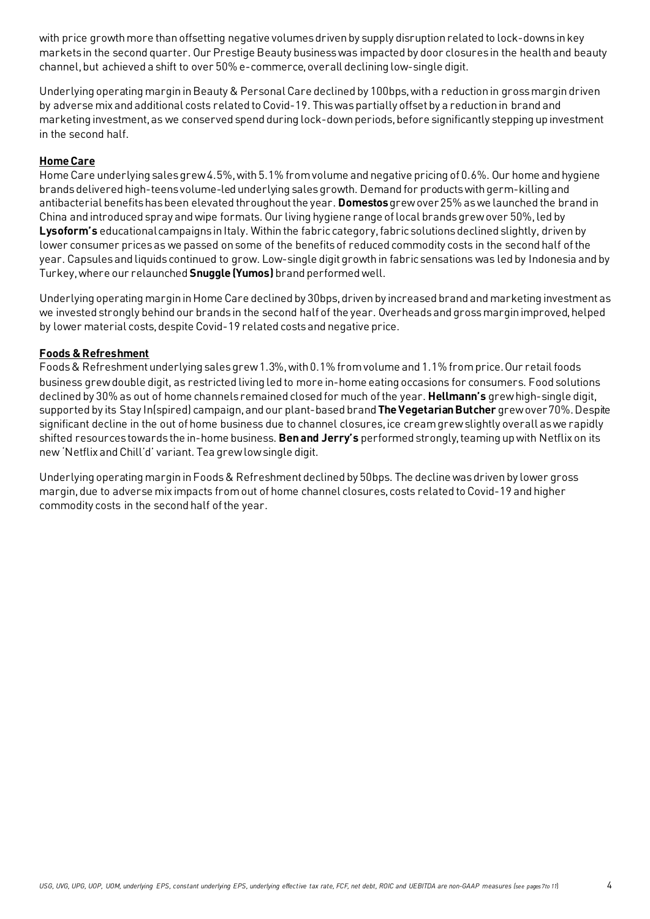with price growthmore than offsetting negative volumes driven by supply disruption related to lock-downs in key marketsin the second quarter. Our Prestige Beauty business was impacted by door closures in the health and beauty channel, but achieved a shift to over 50% e-commerce, overall declining low-single digit.

Underlying operating margin in Beauty & Personal Care declined by 100bps, with a reduction in gross margin driven by adverse mix and additional costs related to Covid-19. This was partially offset by a reduction in brand and marketing investment, as we conserved spend during lock-down periods, before significantly stepping up investment in the second half.

## **Home Care**

Home Care underlying sales grew 4.5%, with 5.1% from volume and negative pricing of 0.6%. Our home and hygiene brands delivered high-teens volume-led underlying sales growth. Demand for products with germ-killing and antibacterial benefitshas been elevated throughout the year. **Domestos**grew over 25% as we launched the brand in China and introduced spray and wipe formats. Our living hygiene range of local brands grew over 50%, led by **Lysoform's** educational campaigns in Italy. Withinthe fabric category, fabric solutions declined slightly, driven by lower consumer prices as we passed on some of the benefits of reduced commodity costs in the second half of the year. Capsules and liquids continued to grow. Low-single digit growth in fabric sensations was led by Indonesia and by Turkey, where our relaunched **Snuggle (Yumos)**brand performed well.

Underlying operating margin in Home Care declined by 30bps, driven by increased brand and marketing investment as we invested strongly behind our brands in the second half of the year. Overheads and gross margin improved, helped by lower material costs,despite Covid-19 related costs and negative price.

## **Foods & Refreshment**

Foods & Refreshment underlying sales grew 1.3%, with 0.1% from volume and 1.1% from price. Our retail foods business grew double digit, as restricted living led to more in-home eating occasions for consumers. Food solutions declined by 30% as out of home channels remained closed for much of the year. **Hellmann's** grew high-single digit, supported by its Stay In(spired) campaign, and our plant-based brand **The Vegetarian Butcher** grew over 70%. Despite significant decline in the out of home business due to channel closures, ice cream grewslightly overall as we rapidly shifted resources towards the in-home business. **Ben and Jerry's** performed strongly, teaming up with Netflix on its new 'Netflix and Chill'd' variant. Tea grew low single digit.

Underlying operating margin in Foods & Refreshment declined by 50bps. The decline was driven by lower gross margin, due to adverse mix impacts from out of home channel closures, costs related to Covid-19 and higher commodity costs in the second half of the year.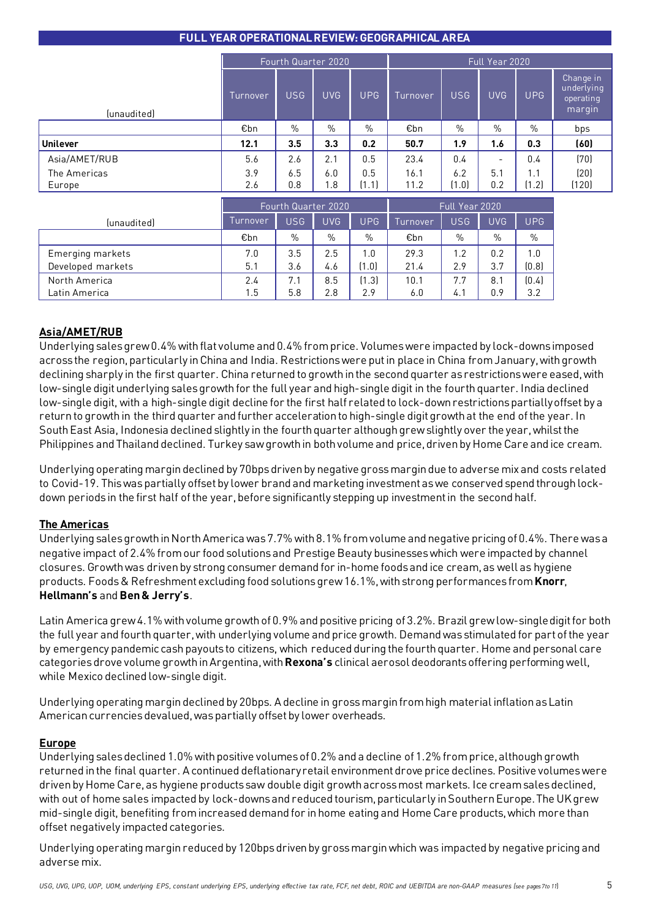|                 |                                       | Fourth Quarter 2020 |            |            |          |            | Full Year 2020           |               |                                                |
|-----------------|---------------------------------------|---------------------|------------|------------|----------|------------|--------------------------|---------------|------------------------------------------------|
| (unaudited)     | Turnover                              | <b>USG</b>          | <b>UVG</b> | <b>UPG</b> | Turnover | <b>USG</b> | <b>UVG</b>               | <b>UPG</b>    | Change in<br>underlying<br>operating<br>margin |
|                 | €bn                                   | $\%$                | $\%$       | %          | €bn      | $\%$       | $\%$                     | $\frac{0}{0}$ | bps                                            |
| <b>Unilever</b> | 12.1                                  | 3.5                 | 3.3        | 0.2        | 50.7     | 1.9        | 1.6                      | 0.3           | (60)                                           |
| Asia/AMET/RUB   | 5.6                                   | 2.6                 | 2.1        | 0.5        | 23.4     | 0.4        | $\overline{\phantom{0}}$ | 0.4           | (70)                                           |
| The Americas    | 3.9                                   | 6.5                 | 6.0        | 0.5        | 16.1     | 6.2        | 5.1                      | 1.1           | (20)                                           |
| Europe          | 2.6                                   | 0.8                 | 1.8        | (1.1)      | 11.2     | (1.0)      | 0.2                      | [1.2]         | (120)                                          |
|                 | Fourth Quarter 2020<br>Full Year 2020 |                     |            |            |          |            |                          |               |                                                |

## **FULL YEAR OPERATIONAL REVIEW: GEOGRAPHICAL AREA**

|                   | Fourth Quarter 2020 |            |            |       | Full Year 2020 |               |            |               |
|-------------------|---------------------|------------|------------|-------|----------------|---------------|------------|---------------|
| (unaudited)       | lurnover            | <b>USG</b> | <b>UVG</b> | UPG   | Turnover       | <b>USG</b>    | <b>UVG</b> | <b>UPG</b>    |
|                   | €bn                 | $\%$       | $\%$       | $\%$  | €bn            | $\frac{0}{0}$ | $\%$       | $\frac{0}{0}$ |
| Emerging markets  | 7.0                 | 3.5        | 2.5        | 1.0   | 29.3           | 1.2           | 0.2        | 1.0           |
| Developed markets | 5.1                 | 3.6        | 4.6        | (1.0) | 21.4           | 2.9           | 3.7        | (0.8)         |
| North America     | 2.4                 | 7.1        | 8.5        | (1.3) | 10.1           | 7.7           | 8.1        | (0.4)         |
| Latin America     | 1.5                 | 5.8        | 2.8        | 2.9   | 6.0            | 4.            | 0.9        | 3.2           |

# **Asia/AMET/RUB**

Underlying sales grew 0.4% with flat volume and 0.4% from price. Volumes were impacted by lock-downs imposed across the region, particularly in China and India. Restrictions were put in place in China from January, with growth declining sharply in the first quarter. China returned to growth in the second quarter as restrictions were eased, with low-single digit underlying sales growth for the full year and high-single digit in the fourth quarter. India declined low-single digit, with a high-single digit decline for the first half related to lock-down restrictions partially offset by a return to growth in the third quarter and further acceleration to high-single digit growth at the end of the year. In South East Asia, Indonesia declined slightly in the fourth quarter although grew slightly over the year, whilst the Philippines and Thailand declined. Turkey saw growth in both volume and price, driven by Home Care and ice cream.

Underlying operating margin declined by 70bps driven by negative gross margin due to adverse mix and costs related to Covid-19. This was partially offset by lower brand and marketing investment as we conserved spend through lockdown periods in the first half of the year, before significantly stepping up investment in the second half.

# **The Americas**

Underlying sales growth in North America was 7.7% with 8.1% from volume and negative pricing of 0.4%. There was a negative impact of 2.4% from our food solutionsand Prestige Beauty businesses which were impacted by channel closures. Growth was driven by strong consumer demand for in-home foods and ice cream, as well as hygiene products. Foods & Refreshment excluding food solutionsgrew 16.1%, with strong performances from **Knorr**, **Hellmann's** and **Ben & Jerry's**.

Latin America grew 4.1% with volume growth of 0.9% and positive pricing of 3.2%. Brazil grew low-singledigitfor both the full year and fourth quarter, with underlying volume and price growth. Demand was stimulated for part of the year by emergency pandemic cash payouts to citizens, which reduced during the fourth quarter. Home and personal care categories drove volume growth in Argentina, with **Rexona's** clinical aerosol deodorants offering performing well, while Mexico declined low-single digit.

Underlying operating margin declined by 20bps. A decline in gross margin from high material inflation as Latin American currencies devalued, was partially offset by lower overheads.

## **Europe**

Underlying sales declined 1.0% with positive volumes of 0.2% and a decline of 1.2% from price, although growth returned in the final quarter. A continued deflationary retail environmentdrove price declines. Positive volumes were driven by Home Care, as hygiene products saw double digit growth across most markets. Ice cream sales declined, with out of home sales impacted by lock-downs and reduced tourism, particularly in Southern Europe.The UK grew mid-single digit, benefiting from increased demand for in home eating and Home Care products, which more than offset negatively impacted categories.

Underlying operating margin reduced by 120bps driven by gross margin which was impacted by negative pricing and adverse mix.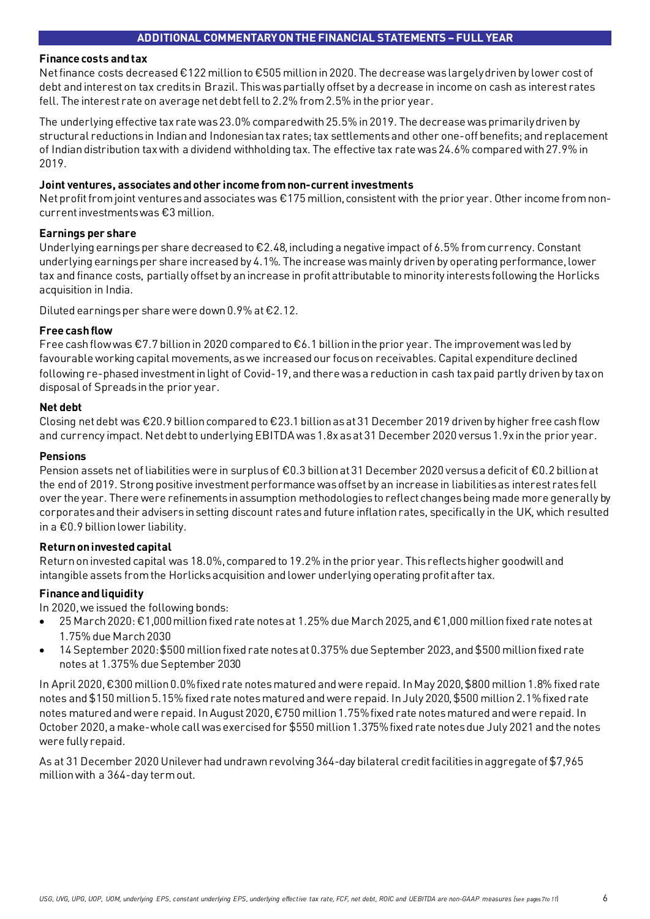### **Finance costs and tax**

Net finance costs decreased €122 millionto €505 millionin 2020. The decrease was largely driven by lower cost of debt and interest on tax credits in Brazil. This was partially offset by a decrease in income on cash as interest rates fell. The interest rate on average net debt fell to 2.2% from 2.5% in the prior year.

The underlying effective tax rate was 23.0% compared with 25.5% in 2019. The decrease was primarily driven by structural reductions in Indian and Indonesian tax rates;tax settlements and other one-off benefits; and replacement of Indian distribution tax with a dividend withholding tax. The effective tax rate was 24.6% compared with 27.9% in 2019.

### **Joint ventures, associates and other income from non-current investments**

Net profit from joint ventures and associates was €175 million, consistent with the prior year. Other income from noncurrent investments was €3 million.

### **Earnings per share**

Underlying earnings per share decreased to €2.48, including a negative impact of 6.5% from currency. Constant underlying earnings per share increased by 4.1%. The increase was mainly driven by operating performance, lower tax and finance costs, partially offset by an increase in profit attributable to minority interests following the Horlicks acquisition in India.

Diluted earnings per share were down 0.9% at €2.12.

## **Free cash flow**

Free cash flow was €7.7 billionin 2020 compared to €6.1 billionin the prior year. The improvement was led by favourable working capital movements, as we increased our focus on receivables. Capital expenditure declined following re-phased investmentin light of Covid-19, and there was a reduction in cash tax paid partly driven by tax on disposal of Spreads in the prior year.

## **Net debt**

Closing net debt was €20.9 billion compared to €23.1 billion as at 31 December 2019 driven by higher free cash flow and currency impact. Net debt to underlying EBITDA was 1.8x as at 31 December 2020 versus 1.9x in the prior year.

### **Pensions**

Pension assets net of liabilities were in surplus of €0.3 billion at 31 December 2020 versus a deficit of €0.2 billion at the end of 2019. Strong positive investment performance was offset by an increase in liabilities as interest rates fell over the year. There were refinementsinassumption methodologiesto reflect changesbeing made more generally by corporatesand their advisersinsetting discount ratesand future inflationrates, specifically in the UK, which resulted in a  $€0.9$  billion lower liability.

## **Returnoninvestedcapital**

Return on invested capital was 18.0%, compared to 19.2% in the prior year. This reflects higher goodwill and intangible assets fromthe Horlicksacquisition and lower underlying operating profitafter tax.

## **Finance and liquidity**

In 2020, we issued the following bonds:

- 25 March 2020: €1,000 million fixed rate notes at 1.25% due March 2025,and €1,000 million fixed rate notes at 1.75% due March 2030
- 14 September 2020: \$500 million fixed rate notes at 0.375% due September 2023,and \$500 million fixed rate notes at 1.375% due September 2030

In April 2020, €300 million 0.0% fixed rate notes matured and were repaid. In May 2020, \$800 million 1.8% fixed rate notes and \$150 million 5.15% fixed rate notes matured and were repaid. In July 2020, \$500 million 2.1% fixed rate notes matured and were repaid. In August 2020, €750 million 1.75% fixed rate notes matured and were repaid. In October 2020, a make-whole call was exercised for \$550 million 1.375% fixed rate notes due July 2021 and the notes were fully repaid.

As at 31 December 2020 Unilever had undrawn revolving 364-day bilateral credit facilities in aggregate of \$7,965 million with a 364-day term out.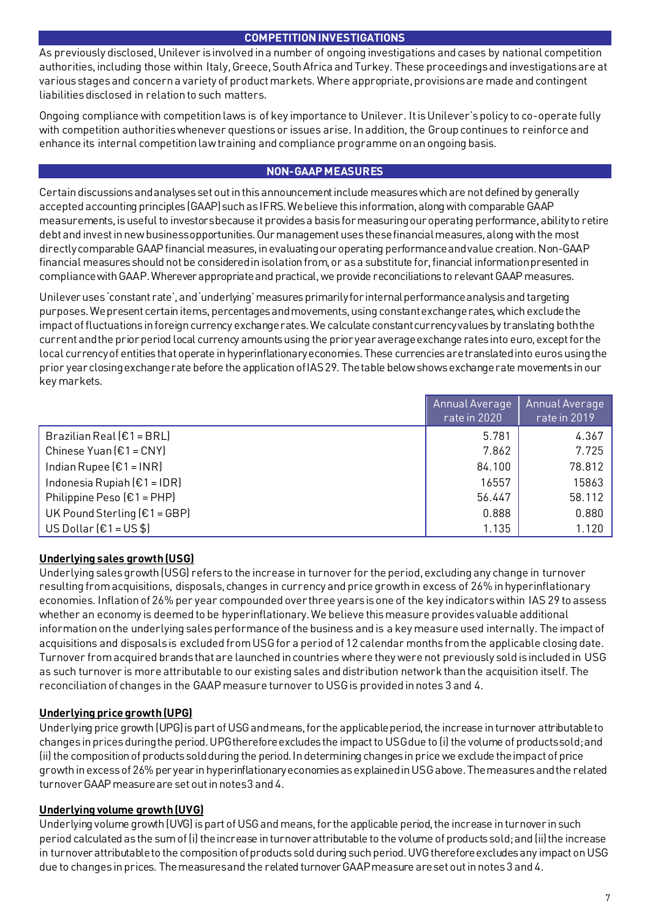## **COMPETITION INVESTIGATIONS**

As previously disclosed, Unilever is involved in a number of ongoing investigations and cases by national competition authorities, including those within Italy, Greece, South Africa and Turkey. These proceedings and investigations are at various stages and concern a variety of product markets. Where appropriate, provisions are made and contingent liabilities disclosed in relation to such matters.

Ongoing compliance with competition laws is of key importance to Unilever. It is Unilever's policy to co-operate fully with competition authorities whenever questions or issues arise. In addition, the Group continues to reinforce and enhance its internal competition law training and compliance programme on an ongoing basis.

## **NON-GAAP MEASURES**

Certain discussions and analyses set out in this announcement include measures which are not defined by generally accepted accounting principles (GAAP) such as IFRS. We believe this information, along with comparable GAAP measurements, is useful to investors because it provides a basis for measuring our operating performance, ability to retire debt and invest in new business opportunities. Our management uses these financial measures, along with the most directly comparable GAAP financial measures, in evaluating our operating performance and value creation. Non-GAAP financial measures should not be considered in isolation from, or as a substitute for, financial information presented in compliance with GAAP. Wherever appropriate and practical, we provide reconciliations to relevant GAAP measures.

Unilever uses 'constant rate', and 'underlying' measures primarily for internal performance analysis and targeting purposes. We present certain items, percentages and movements, using constant exchange rates, which exclude the impact of fluctuations in foreign currency exchange rates. We calculate constant currency values by translating both the current and the prior period local currency amounts using the prior year average exchange rates into euro, except for the local currency of entities that operate in hyperinflationary economies. These currencies are translated into euros using the prior year closing exchange rate before the application of IAS 29. The table below shows exchange rate movements in our key markets.

|                                          | Annual Average<br>rate in 2020 | Annual Average<br>rate in 2019 |
|------------------------------------------|--------------------------------|--------------------------------|
| Brazilian Real $[€1 = BRL]$              | 5.781                          | 4.367                          |
| Chinese Yuan $\mathcal{E}1 = \text{CNY}$ | 7.862                          | 7.725                          |
| Indian Rupee $[£1 = INR]$                | 84.100                         | 78.812                         |
| Indonesia Rupiah $[£1 = IDR]$            | 16557                          | 15863                          |
| Philippine Peso $E1 = PHP$               | 56.447                         | 58.112                         |
| UK Pound Sterling $(E1 = GBP)$           | 0.888                          | 0.880                          |
| US Dollar $[€1 = US $]$                  | 1.135                          | 1.120                          |

# **Underlying sales growth (USG)**

Underlying sales growth (USG) refersto the increase in turnover for the period, excluding any change in turnover resulting from acquisitions, disposals, changes in currency and price growth in excess of 26% in hyperinflationary economies. Inflation of 26% per year compounded over three years is one of the key indicators within IAS 29 to assess whether an economy is deemed to be hyperinflationary. We believe this measure provides valuable additional information on the underlying sales performance of the business and is a key measure used internally. The impact of acquisitions and disposals is excluded from USG for a period of 12 calendar months from the applicable closing date. Turnover from acquired brands that are launched in countries where they were not previously sold is included in USG as such turnover is more attributable to our existing sales and distribution network than the acquisition itself. The reconciliation of changes in the GAAP measure turnover to USG is provided in notes 3 and 4.

# **Underlying price growth (UPG)**

Underlying price growth (UPG) is part of USG and means, for the applicable period, the increase in turnover attributable to changes in prices during the period. UPG therefore excludes the impact to USG due to (i) the volume of products sold; and (ii) the composition of products sold during the period. In determining changes in price we exclude the impact of price growth in excess of 26% per year in hyperinflationary economiesas explained in USG above.The measures and the related turnover GAAP measure are set out in notes 3 and 4.

# **Underlying volume growth (UVG)**

Underlying volume growth (UVG) is part of USG and means, for the applicable period, the increase in turnover in such period calculated as the sum of (i) the increase in turnover attributable to the volume of products sold; and (ii) the increase in turnover attributable to the composition of products sold during such period. UVG therefore excludes any impact on USG due to changes in prices. The measures and the related turnover GAAP measure are set out in notes 3 and 4.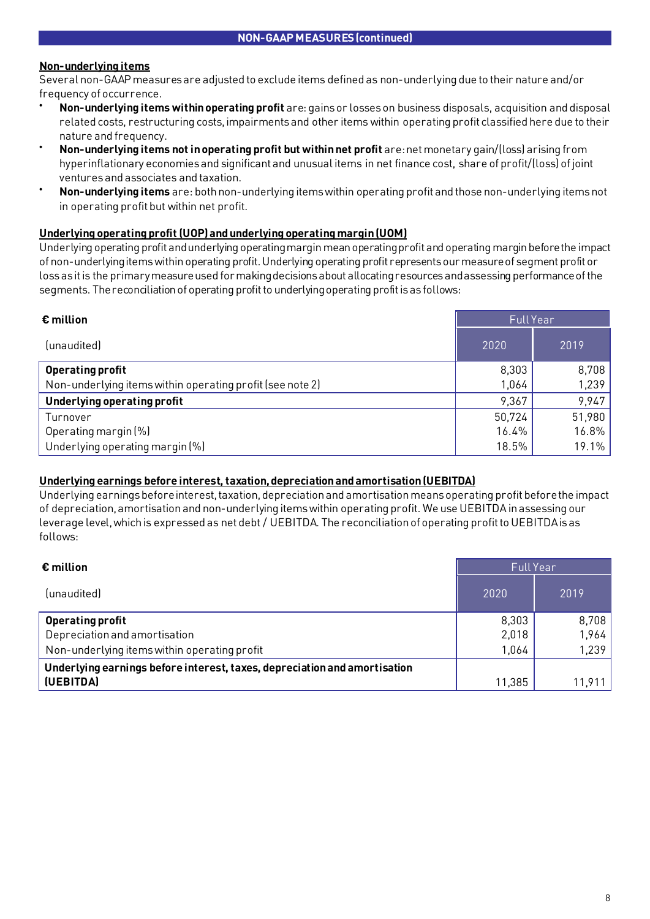# **Non-underlying items**

Several non-GAAP measures are adjusted to exclude items defined as non-underlying due to their nature and/or frequency of occurrence.

- **Non-underlying items within operating profit** are: gains or losses on business disposals, acquisition and disposal related costs, restructuring costs, impairments and other items within operating profit classified here due to their nature and frequency.
- **Non-underlying items not in operating profit but within net profit** are: net monetary gain/(loss) arising from hyperinflationary economies and significant and unusual items in net finance cost, share of profit/(loss) of joint ventures and associates and taxation.
- **Non-underlying items** are: both non-underlying items within operating profit and those non-underlying items not in operating profit but within net profit.

# **Underlying operating profit (UOP)andunderlying operating margin (UOM)**

Underlying operating profit and underlying operating margin mean operating profit and operating margin before the impact of non-underlying items within operating profit. Underlying operating profit represents our measure of segment profit or loss as it is the primary measure used for making decisions about allocating resources and assessing performance of the segments. The reconciliation of operating profit to underlying operating profit is as follows:

| $\epsilon$ million                                        | <b>Full Year</b> |        |  |
|-----------------------------------------------------------|------------------|--------|--|
| (unaudited)                                               | 2020             | 2019   |  |
| <b>Operating profit</b>                                   | 8,303            | 8,708  |  |
| Non-underlying items within operating profit (see note 2) | 1,064            | 1,239  |  |
| <b>Underlying operating profit</b>                        | 9,367            | 9,947  |  |
| Turnover                                                  | 50,724           | 51,980 |  |
| Operating margin (%)                                      | 16.4%            | 16.8%  |  |
| Underlying operating margin (%)                           | 18.5%            | 19.1%  |  |

# **Underlying earnings before interest, taxation, depreciation and amortisation (UEBITDA)**

Underlying earnings before interest, taxation, depreciation and amortisation means operating profit before the impact of depreciation, amortisation and non-underlying items within operating profit. We use UEBITDA in assessing our leverage level, which is expressed as net debt / UEBITDA. The reconciliation of operating profit to UEBITDA is as follows:

| $\epsilon$ million                                                        | <b>Full Year</b> |       |
|---------------------------------------------------------------------------|------------------|-------|
| (unaudited)                                                               | 2020             | 2019  |
| Operating profit                                                          | 8,303            | 8,708 |
| Depreciation and amortisation                                             | 2,018            | 1,964 |
| Non-underlying items within operating profit                              | 1,064            | 1,239 |
| Underlying earnings before interest, taxes, depreciation and amortisation |                  |       |
| (UEBITDA)                                                                 | 11,385           | 11,91 |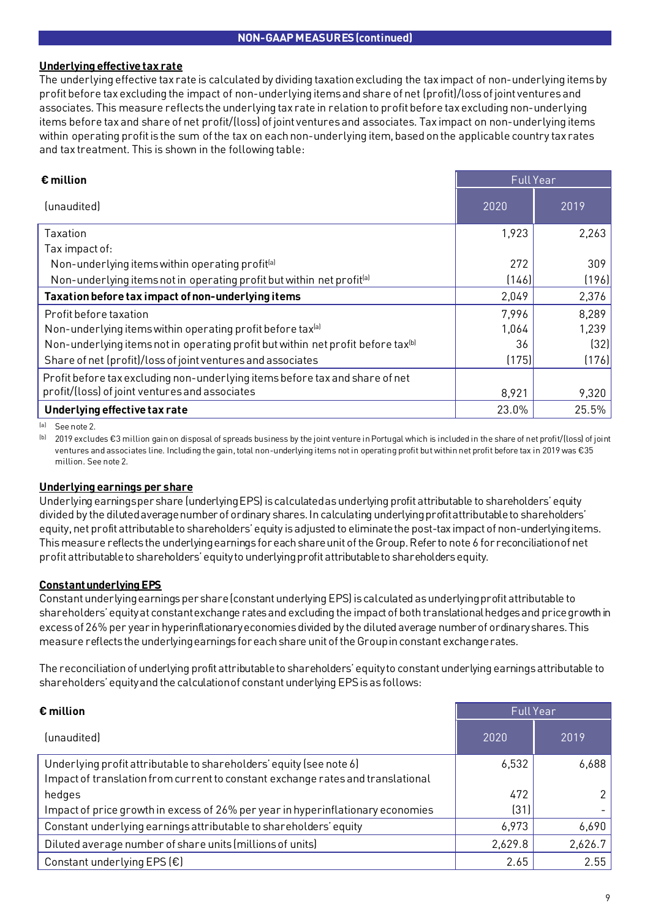# **Underlying effective tax rate**

The underlying effective tax rate is calculated by dividing taxation excluding the tax impact of non-underlying items by profit before tax excluding the impact of non-underlying items and share of net (profit)/loss of joint ventures and associates. This measure reflects the underlying tax rate in relation to profit before tax excluding non-underlying items before tax and share of net profit/(loss) of joint ventures and associates. Tax impact on non-underlying items within operating profit is the sum of the tax on each non-underlying item, based on the applicable country tax rates and tax treatment. This is shown in the following table:

| € million                                                                                    |       | <b>Full Year</b> |  |  |
|----------------------------------------------------------------------------------------------|-------|------------------|--|--|
| (unaudited)                                                                                  | 2020  | 2019             |  |  |
| Taxation                                                                                     | 1,923 | 2,263            |  |  |
| Tax impact of:                                                                               |       |                  |  |  |
| Non-underlying items within operating profit <sup>(a)</sup>                                  | 272   | 309              |  |  |
| Non-underlying items not in operating profit but within net profit <sup>[a]</sup>            | (146) | (196)            |  |  |
| Taxation before tax impact of non-underlying items                                           | 2,049 | 2,376            |  |  |
| Profit before taxation                                                                       | 7,996 | 8,289            |  |  |
| Non-underlying items within operating profit before tax <sup>(a)</sup>                       | 1,064 | 1,239            |  |  |
| Non-underlying items not in operating profit but within net profit before tax <sup>(b)</sup> | 36    | (32)             |  |  |
| Share of net (profit)/loss of joint ventures and associates                                  | (175) | (176)            |  |  |
| Profit before tax excluding non-underlying items before tax and share of net                 |       |                  |  |  |
| profit/(loss) of joint ventures and associates                                               | 8,921 | 9,320            |  |  |
| Underlying effective tax rate                                                                | 23.0% | 25.5%            |  |  |

(a) See note 2.

(b) 2019 excludes €3 million gain on disposal of spreads business by the joint venture in Portugal which is included in the share of net profit/(loss) of joint ventures and associates line. Including the gain, total non-underlying items not in operating profit but within net profit before tax in 2019 was €35 million. See note 2.

## **Underlying earnings per share**

Underlying earnings per share (underlying EPS) is calculated as underlying profit attributable to shareholders' equity divided by the diluted average number of ordinary shares. In calculating underlying profit attributable to shareholders' equity, net profit attributable to shareholders' equity is adjusted to eliminate the post-tax impact of non-underlying items. This measure reflects the underlying earnings for each share unit of the Group. Refer to note 6 for reconciliation of net profit attributable to shareholders' equity to underlying profit attributable to shareholders equity.

# **Constant underlying EPS**

Constant underlying earnings per share (constant underlying EPS) is calculated as underlying profit attributable to shareholders' equity at constant exchange rates and excluding the impact of both translational hedges and price growth in excess of 26% per year in hyperinflationary economies divided by the diluted average number of ordinary shares. This measure reflects the underlying earnings for each share unit of the Group in constant exchange rates.

The reconciliation of underlying profit attributable to shareholders' equity to constant underlying earnings attributable to shareholders' equity and the calculation of constant underlying EPS is as follows:

| $\epsilon$ million                                                              | <b>Full Year</b> |         |
|---------------------------------------------------------------------------------|------------------|---------|
| (unaudited)                                                                     | 2020             | 2019    |
| Underlying profit attributable to shareholders' equity (see note 6)             | 6,532            | 6,688   |
| Impact of translation from current to constant exchange rates and translational |                  |         |
| hedges                                                                          | 472              |         |
| Impact of price growth in excess of 26% per year in hyperinflationary economies | (31)             |         |
| Constant underlying earnings attributable to shareholders' equity               | 6,973            | 6,690   |
| Diluted average number of share units (millions of units)                       | 2,629.8          | 2,626.7 |
| Constant underlying EPS $(\epsilon)$                                            | 2.65             | 2.55    |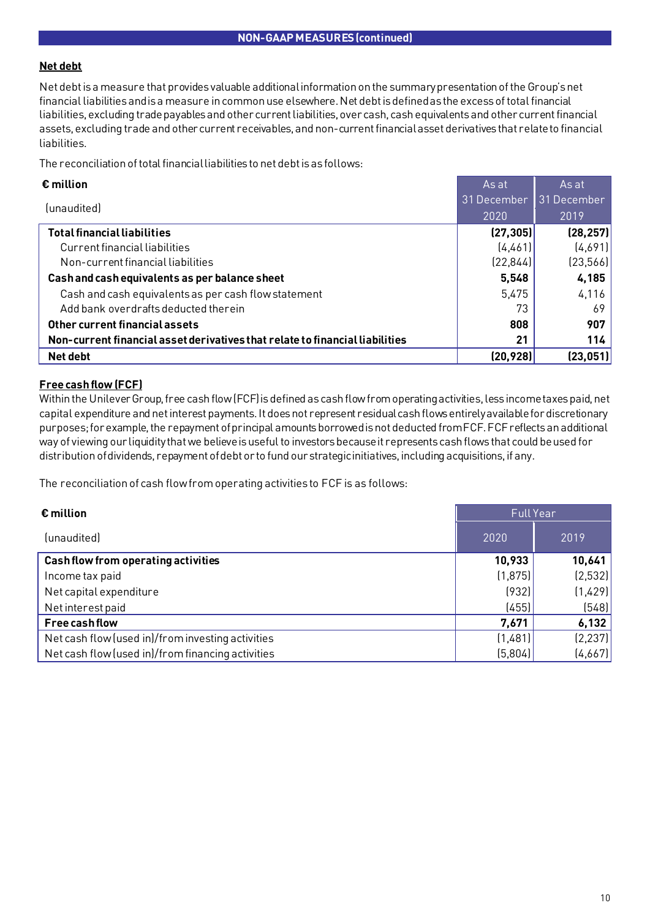# **Net debt**

Net debt is a measure that provides valuable additional information on the summary presentation of the Group's net financial liabilities and is a measure in common use elsewhere. Net debt is defined as the excess of total financial liabilities, excluding trade payables and other current liabilities, over cash, cash equivalents and other current financial assets, excluding trade and other current receivables, and non-current financial asset derivatives that relate to financial liabilities.

The reconciliation of total financial liabilities to net debt is as follows:

| $\epsilon$ million                                                           | As at       | As at       |
|------------------------------------------------------------------------------|-------------|-------------|
|                                                                              | 31 December | 31 December |
| (unaudited)                                                                  | 2020        | 2019        |
| <b>Total financial liabilities</b>                                           | (27, 305)   | (28, 257)   |
| Current financial liabilities                                                | (4,461)     | (4,691)     |
| Non-current financial liabilities                                            | [22, 844]   | [23,566]    |
| Cash and cash equivalents as per balance sheet                               | 5,548       | 4,185       |
| Cash and cash equivalents as per cash flow statement                         | 5,475       | 4,116       |
| Add bank overdrafts deducted therein                                         | 73          | 69          |
| Other current financial assets                                               | 808         | 907         |
| Non-current financial asset derivatives that relate to financial liabilities | 21          | 114         |
| Net debt                                                                     | (20, 928)   | (23, 051)   |

# **Free cash flow (FCF)**

Within the Unilever Group, free cash flow (FCF) is defined as cash flow from operating activities, less income taxes paid, net capital expenditure and net interest payments. It does not represent residual cash flows entirely available for discretionary purposes; for example, the repayment of principal amounts borrowed is not deducted from FCF. FCF reflects an additional way of viewing our liquidity that we believe is useful to investors because it represents cash flows that could be used for distribution of dividends, repayment of debt or to fund our strategic initiatives, including acquisitions, if any.

The reconciliation of cash flow from operating activitiesto FCF is as follows:

| $\epsilon$ million                                | <b>Full Year</b> |          |
|---------------------------------------------------|------------------|----------|
| (unaudited)                                       | 2020             | 2019     |
| Cash flow from operating activities               | 10,933           | 10,641   |
| Income tax paid                                   | (1, 875)         | (2,532)  |
| Net capital expenditure                           | (932)            | (1,429)  |
| Net interest paid                                 | (455)            | (548)    |
| Free cash flow                                    | 7,671            | 6,132    |
| Net cash flow (used in)/from investing activities | (1,481)          | (2, 237) |
| Net cash flow (used in)/from financing activities | (5,804)          | (4,667)  |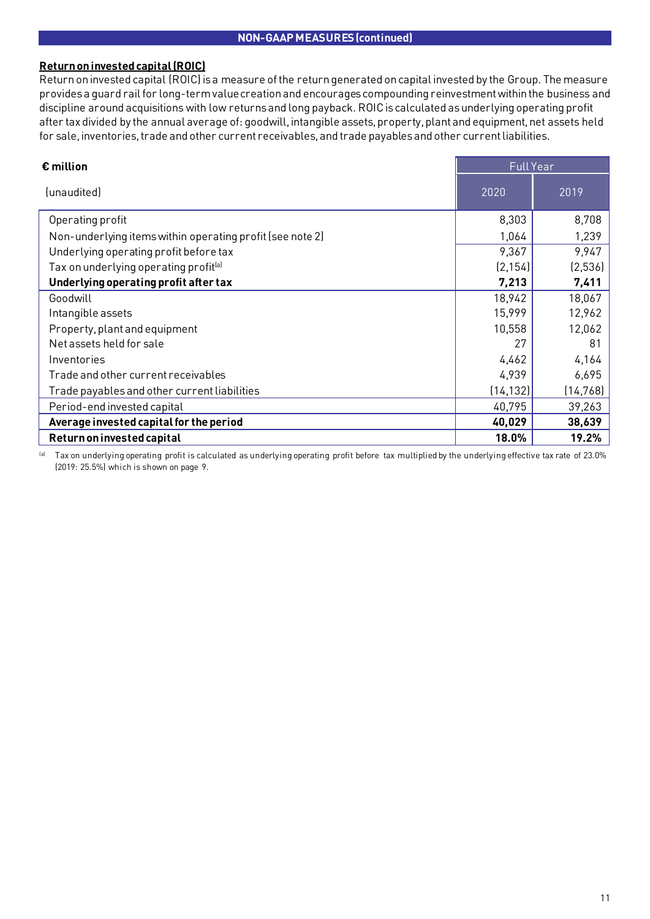## **NON-GAAP MEASURES(continued)**

# **Return on invested capital (ROIC)**

Return on invested capital (ROIC) is a measure of the return generated on capital invested by the Group. The measure provides a guard rail for long-term value creation and encourages compounding reinvestment within the business and discipline around acquisitions with low returns and long payback. ROIC is calculated as underlying operating profit after tax divided by the annual average of: goodwill, intangible assets, property, plant and equipment, net assets held for sale, inventories, trade and other current receivables, and trade payables and other current liabilities.

| $\epsilon$ million                                        |           | <b>Full Year</b> |
|-----------------------------------------------------------|-----------|------------------|
| (unaudited)                                               | 2020      | 2019             |
| Operating profit                                          | 8,303     | 8,708            |
| Non-underlying items within operating profit (see note 2) | 1,064     | 1,239            |
| Underlying operating profit before tax                    | 9,367     | 9.947            |
| Tax on underlying operating profit <sup>[a]</sup>         | [2, 154]  | (2,536)          |
| Underlying operating profit after tax                     | 7,213     | 7,411            |
| Goodwill                                                  | 18,942    | 18,067           |
| Intangible assets                                         | 15,999    | 12,962           |
| Property, plant and equipment                             | 10,558    | 12,062           |
| Net assets held for sale                                  | 27        | 81               |
| Inventories                                               | 4,462     | 4,164            |
| Trade and other current receivables                       | 4,939     | 6,695            |
| Trade payables and other current liabilities              | (14, 132) | (14, 768)        |
| Period-end invested capital                               | 40,795    | 39,263           |
| Average invested capital for the period                   | 40,029    | 38,639           |
| Return on invested capital                                | 18.0%     | 19.2%            |

(a) Tax on underlying operating profit is calculated as underlying operating profit before tax multiplied by the underlying effective tax rate of 23.0% (2019: 25.5%) which is shown on page 9.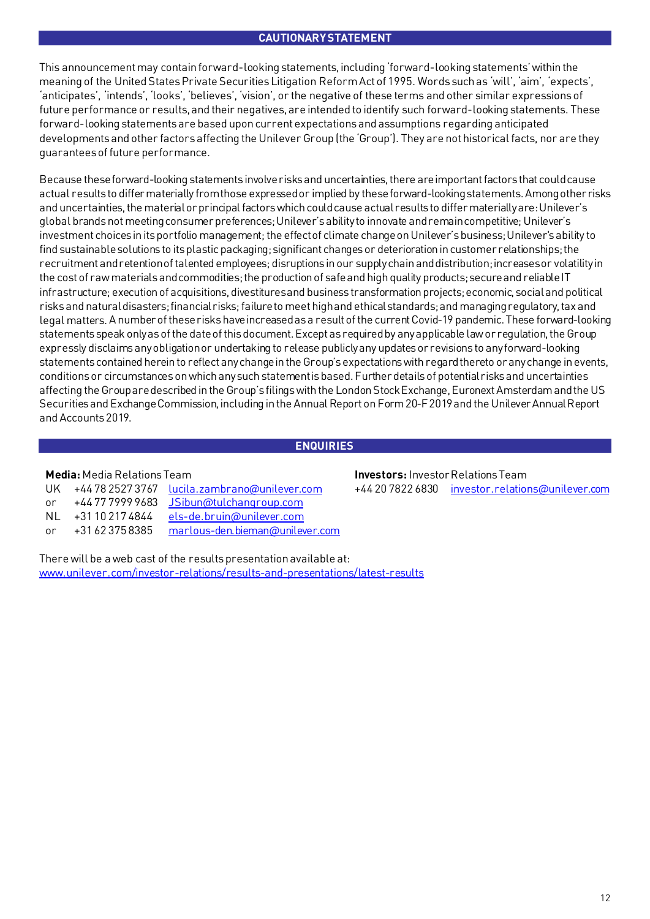This announcement may contain forward-looking statements, including 'forward-looking statements' within the meaning of the United StatesPrivate SecuritiesLitigation ReformActof 1995. Wordssuchas 'will', 'aim', 'expects', 'anticipates', 'intends', 'looks', 'believes', 'vision', or the negative of these terms and other similar expressionsof future performance or results, and their negatives, are intended to identify such forward-looking statements. These forward-looking statementsare based uponcurrentexpectationsand assumptions regarding anticipated developments and other factors affecting the Unilever Group (the 'Group'). They are not historical facts, nor are they guaranteesoffuture performance.

Because theseforward-looking statementsinvolverisksand uncertainties,there areimportantfactorsthat couldcause actual results to differ materially fromthose expressed or implied by these forward-looking statements. Among other risks and uncertainties, the material or principal factors which could cause actual results to differ materiallyare: Unilever's global brandsnotmeetingconsumerpreferences;Unilever'sabilityto innovate andremaincompetitive;Unilever's investment choices in its portfolio management; the effectof climate change on Unilever's business; Unilever's ability to find sustainable solutions to its plastic packaging; significant changes or deterioration in customer relationships; the recruitmentandretentionoftalented employees; disruptionsinour supplychainanddistribution;increasesor volatilityin the cost of raw materials and commodities; the production of safeand high quality products; secure and reliable IT infrastructure; execution of acquisitions, divestituresand business transformation projects; economic, social and political risksand naturaldisasters;financialrisks; failureto meethighand ethicalstandards;and managingregulatory,tax and legal matters. A numberoftheseriskshaveincreasedasa resultofthe currentCovid-19 pandemic.These forward-looking statementsspeak onlyasofthe dateofthisdocument.Exceptasrequiredby anyapplicable lawor regulation,the Group expressly disclaimsanyobligationor undertaking to release publiclyany updatesor revisionsto anyforward-looking statementscontained hereinto reflectanychangeinthe Group'sexpectationswithregardthereto oranychange inevents, conditions or circumstances on which any such statement is based. Further details of potential risks and uncertainties affecting the Groupare described in the Group's filings with the London Stock Exchange, Euronext Amsterdam and the US Securities and Exchange Commission, including in the Annual Report on Form 20-F2019 and the Unilever Annual Report andAccounts2019.

# **ENQUIRIES**

| UK. |                 | +447825273767 <u>lucila.zambrano@unilever.com</u> |
|-----|-----------------|---------------------------------------------------|
| or  |                 | +44 77 7999 9683 JSibun@tulchangroup.com          |
| NI. | +31 10 217 4844 | els-de.bruin@unilever.com                         |
| or  | +31 62 375 8385 | marlous-den bieman@unilever.com                   |

There will be a web cast of the results presentation available at: [www.unilever.com/investor-relations/results-and-presentations/latest-results](https://www.unilever.com/investor-relations/results-and-presentations/latest-results/?utm_source=Qresults&utm_medium=Results-PDF)

**Media:** Media Relations Team **Investors:**Investor Relations Team

+44 20 7822 6830 [investor.relations@unilever.com](mailto:investor.relations@unilever.com)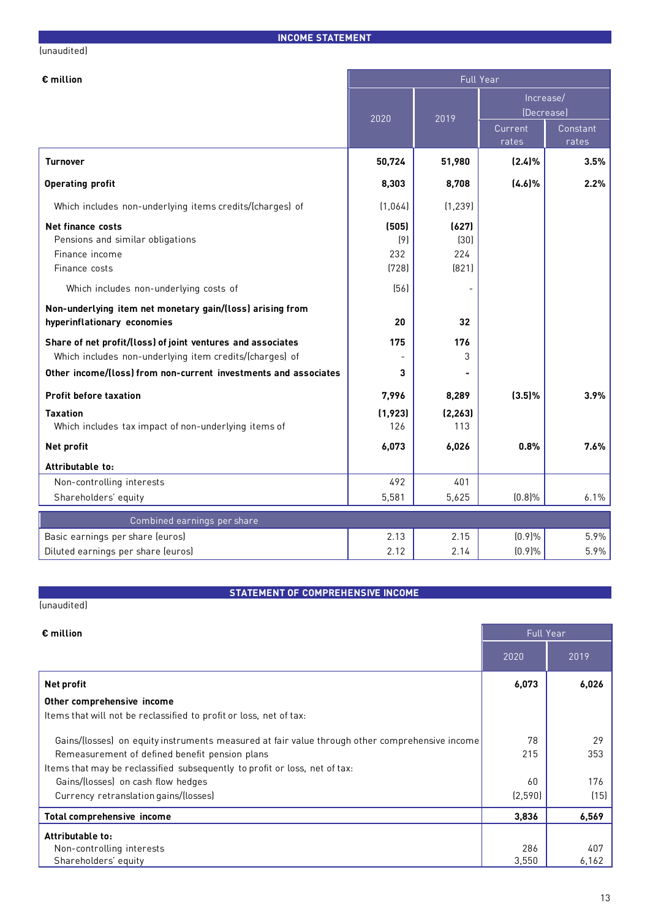| $\epsilon$ million                                                                                                     | <b>Full Year</b>             |                               |                         |                   |  |
|------------------------------------------------------------------------------------------------------------------------|------------------------------|-------------------------------|-------------------------|-------------------|--|
|                                                                                                                        | 2020                         | 2019                          | Increase/<br>(Decrease) |                   |  |
|                                                                                                                        |                              |                               | Current<br>rates        | Constant<br>rates |  |
| <b>Turnover</b>                                                                                                        | 50,724                       | 51,980                        | (2.4)%                  | 3.5%              |  |
| <b>Operating profit</b>                                                                                                | 8,303                        | 8,708                         | (4.6)%                  | 2.2%              |  |
| Which includes non-underlying items credits/(charges) of                                                               | (1,064)                      | (1, 239)                      |                         |                   |  |
| <b>Net finance costs</b><br>Pensions and similar obligations<br>Finance income<br>Finance costs                        | (505)<br>(9)<br>232<br>(728) | (627)<br>(30)<br>224<br>[821] |                         |                   |  |
| Which includes non-underlying costs of                                                                                 | [56]                         |                               |                         |                   |  |
| Non-underlying item net monetary gain/(loss) arising from<br>hyperinflationary economies                               | 20                           | 32                            |                         |                   |  |
| Share of net profit/(loss) of joint ventures and associates<br>Which includes non-underlying item credits/(charges) of | 175                          | 176<br>3                      |                         |                   |  |
| Other income/(loss) from non-current investments and associates                                                        | 3                            |                               |                         |                   |  |
| <b>Profit before taxation</b>                                                                                          | 7,996                        | 8,289                         | (3.5)%                  | 3.9%              |  |
| <b>Taxation</b><br>Which includes tax impact of non-underlying items of                                                | (1,923)<br>126               | (2, 263)<br>113               |                         |                   |  |
| Net profit                                                                                                             | 6,073                        | 6,026                         | 0.8%                    | 7.6%              |  |
| Attributable to:                                                                                                       |                              |                               |                         |                   |  |
| Non-controlling interests<br>Shareholders' equity                                                                      | 492<br>5,581                 | 401<br>5,625                  | (0.8)%                  | 6.1%              |  |
| Combined earnings per share                                                                                            |                              |                               |                         |                   |  |
| Basic earnings per share (euros)<br>Diluted earnings per share (euros)                                                 | 2.13<br>2.12                 | 2.15<br>2.14                  | (0.9)%<br>(0.9)%        | 5.9%<br>5.9%      |  |

# **STATEMENT OF COMPREHENSIVE INCOME**

(unaudited)

| $\epsilon$ million                                                                                                                                                                                                                                                                                            |                            | <b>Full Year</b>         |
|---------------------------------------------------------------------------------------------------------------------------------------------------------------------------------------------------------------------------------------------------------------------------------------------------------------|----------------------------|--------------------------|
|                                                                                                                                                                                                                                                                                                               | 2020                       | 2019                     |
| Net profit                                                                                                                                                                                                                                                                                                    | 6,073                      | 6,026                    |
| Other comprehensive income                                                                                                                                                                                                                                                                                    |                            |                          |
| Items that will not be reclassified to profit or loss, net of tax.                                                                                                                                                                                                                                            |                            |                          |
| Gains/(losses) on equity instruments measured at fair value through other comprehensive income<br>Remeasurement of defined benefit pension plans<br>Items that may be reclassified subsequently to profit or loss, net of tax:<br>Gains/(losses) on cash flow hedges<br>Currency retranslation gains/(losses) | 78<br>215<br>60<br>(2,590) | 29<br>353<br>176<br>(15) |
| Total comprehensive income                                                                                                                                                                                                                                                                                    | 3,836                      | 6,569                    |
| Attributable to:<br>Non-controlling interests<br>Shareholders' equity                                                                                                                                                                                                                                         | 286<br>3,550               | 407<br>6,162             |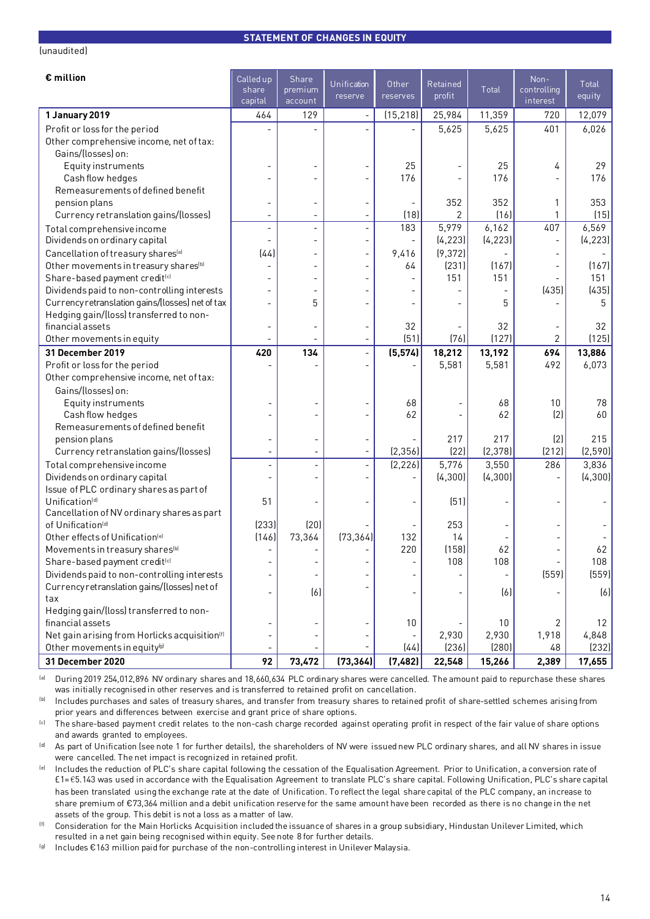### **STATEMENT OF CHANGES IN EQUITY**

| $\epsilon$ million                                        | Called up | Share   | Unification              | Other     | Retained       |              | Non-           | Total    |
|-----------------------------------------------------------|-----------|---------|--------------------------|-----------|----------------|--------------|----------------|----------|
|                                                           | share     | premium | reserve                  | reserves  | profit         | <b>Total</b> | controlling    | equity   |
|                                                           | capital   | account |                          |           |                |              | interest       |          |
| 1 January 2019                                            | 464       | 129     | $\overline{\phantom{a}}$ | (15, 218) | 25,984         | 11,359       | 720            | 12,079   |
| Profit or loss for the period                             |           |         |                          |           | 5,625          | 5,625        | 401            | 6,026    |
| Other comprehensive income, net of tax:                   |           |         |                          |           |                |              |                |          |
| Gains/(losses) on:                                        |           |         |                          |           |                |              |                |          |
| Equity instruments                                        |           |         |                          | 25        |                | 25           | 4              | 29       |
| Cash flow hedges                                          |           |         |                          | 176       |                | 176          |                | 176      |
| Remeasurements of defined benefit                         |           |         |                          |           |                |              |                |          |
| pension plans                                             |           |         |                          |           | 352            | 352          |                | 353      |
| Currency retranslation gains/(losses)                     |           |         | $\frac{1}{2}$            | (18)      | $\overline{2}$ | $[16]$       |                | (15)     |
| Total comprehensive income                                |           |         | $\frac{1}{2}$            | 183       | 5,979          | 6,162        | 407            | 6,569    |
| Dividends on ordinary capital                             |           |         |                          |           | [4, 223]       | (4, 223)     |                | (4, 223) |
| Cancellation of treasury shares <sup>(a)</sup>            | (44)      |         | $\overline{a}$           | 9,416     | (9, 372)       |              |                |          |
| Other movements in treasury shares <sup>(b)</sup>         |           |         | $\overline{a}$           | 64        | (231)          | (167)        |                | [167]    |
| Share-based payment credit <sup>(c)</sup>                 |           |         |                          |           | 151            | 151          |                | 151      |
| Dividends paid to non-controlling interests               |           |         |                          |           |                |              | (435)          | (435)    |
| Currency retranslation gains/(losses) net of tax          |           | 5       | $\overline{a}$           |           |                | 5            |                | 5        |
| Hedging gain/(loss) transferred to non-                   |           |         |                          |           |                |              |                |          |
| financial assets                                          |           |         | $\frac{1}{2}$            | 32        |                | 32           |                | 32       |
| Other movements in equity                                 |           |         | $\overline{\phantom{0}}$ | (51)      | (76)           | (127)        | $\overline{2}$ | (125)    |
| 31 December 2019                                          | 420       | 134     | $\overline{a}$           | (5, 574)  | 18,212         | 13,192       | 694            | 13,886   |
| Profit or loss for the period                             |           |         |                          |           | 5,581          | 5,581        | 492            | 6,073    |
| Other comprehensive income, net of tax:                   |           |         |                          |           |                |              |                |          |
| Gains/(losses) on:                                        |           |         |                          |           |                |              |                |          |
| Equity instruments                                        |           |         |                          | 68        |                | 68           | 10             | 78       |
| Cash flow hedges                                          |           |         |                          | 62        |                | 62           | (2)            | 60       |
| Remeasurements of defined benefit                         |           |         |                          |           |                |              |                |          |
| pension plans                                             |           |         |                          |           | 217            | 217          | (2)            | 215      |
| Currency retranslation gains/(losses)                     |           |         | $\overline{\phantom{0}}$ | (2, 356)  | [22]           | [2, 378]     | (212)          | [2,590]  |
| Total comprehensive income                                |           |         | $\overline{a}$           | [2, 226]  | 5,776          | 3,550        | 286            | 3,836    |
| Dividends on ordinary capital                             |           |         |                          |           | (4, 300)       | (4, 300)     |                | (4,300)  |
| Issue of PLC ordinary shares as part of                   |           |         |                          |           |                |              |                |          |
| Unification <sup>[d]</sup>                                | 51        |         |                          |           | (51)           |              |                |          |
| Cancellation of NV ordinary shares as part                |           |         |                          |           |                |              |                |          |
| of Unification <sup>[d]</sup>                             | [233]     | (20)    |                          |           | 253            |              |                |          |
| Other effects of Unification <sup>(e)</sup>               | (146)     | 73,364  | [73, 364]                | 132       | 14             |              |                |          |
| Movements in treasury shares <sup>(b)</sup>               |           |         |                          | 220       | (158)          | 62           |                | 62       |
| Share-based payment credit <sup>(c)</sup>                 |           |         |                          |           | 108            | 108          |                | 108      |
| Dividends paid to non-controlling interests               |           |         |                          |           |                |              | (559)          | (559)    |
| Currency retranslation gains/(losses) net of              |           | [6]     |                          |           |                | (6)          |                | (6)      |
| tax                                                       |           |         |                          |           |                |              |                |          |
| Hedging gain/(loss) transferred to non-                   |           |         |                          |           |                |              |                |          |
| financial assets                                          |           |         |                          | 10        |                | 10           | 2              | 12       |
| Net gain arising from Horlicks acquisition <sup>[f]</sup> |           |         |                          |           | 2,930          | 2,930        | 1,918          | 4,848    |
| Other movements in equity <sup>(g)</sup>                  |           |         |                          | (44)      | [236]          | (280)        | 48             | [232]    |
| 31 December 2020                                          | 92        | 73,472  | (73, 364)                | (7,482)   | 22,548         | 15,266       | 2,389          | 17,655   |

<sup>(a)</sup> During 2019 254,012,896 NV ordinary shares and 18,660,634 PLC ordinary shares were cancelled. The amount paid to repurchase these shares was initially recognised in other reserves and is transferred to retained profit on cancellation.

(b) Includes purchases and sales of treasury shares, and transfer from treasury shares to retained profit of share-settled schemes arising from prior years and differences between exercise and grant price of share options.

<sup>(c)</sup> The share-based payment credit relates to the non-cash charge recorded against operating profit in respect of the fair value of share options and awards granted to employees.

<sup>(d)</sup> As part of Unification (see note 1 for further details), the shareholders of NV were issued new PLC ordinary shares, and all NV shares in issue were cancelled. The net impact is recognized in retained profit.

<sup>[e]</sup> Includes the reduction of PLC's share capital following the cessation of the Equalisation Agreement. Prior to Unification, a conversion rate of £1= €5.143 was used in accordance with the Equalisation Agreement to translate PLC's share capital. Following Unification, PLC's share capital has been translated using the exchange rate at the date of Unification. To reflect the legal share capital of the PLC company, an increase to share premium of €73,364 million and a debit unification reserve for the same amount have been recorded as there is no change in the net assets of the group. This debit is not a loss as a matter of law.

(f) Consideration for the Main Horlicks Acquisition included the issuance of shares in a group subsidiary, Hindustan Unilever Limited, which resulted in a net gain being recognised within equity. See note 8 for further details.

<sup>(g)</sup> Includes €163 million paid for purchase of the non-controlling interest in Unilever Malaysia.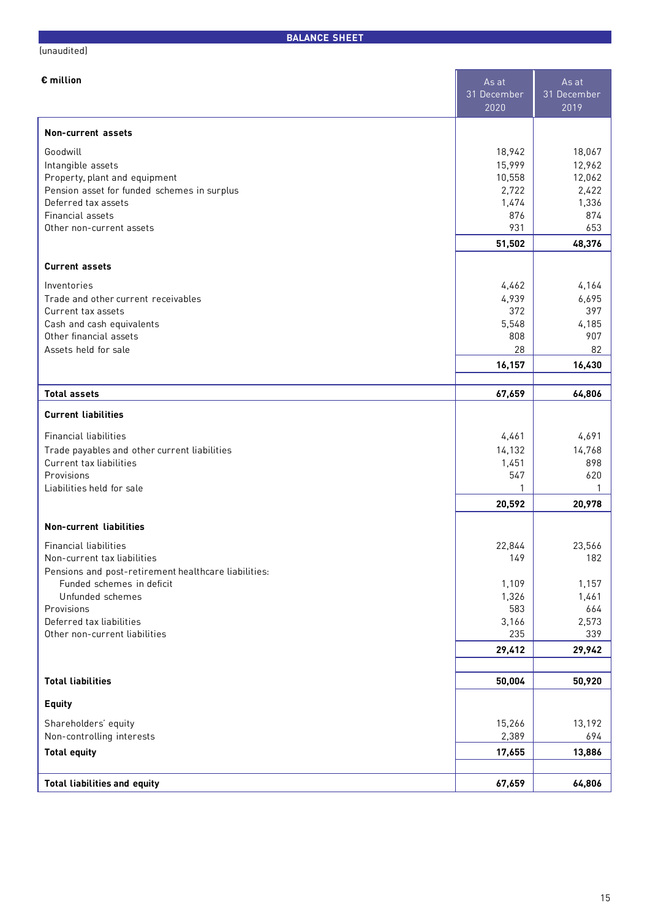| € million                                            | As at          | As at          |
|------------------------------------------------------|----------------|----------------|
|                                                      | 31 December    | 31 December    |
|                                                      | 2020           | 2019           |
| Non-current assets                                   |                |                |
| Goodwill                                             | 18,942         | 18,067         |
| Intangible assets                                    | 15,999         | 12,962         |
| Property, plant and equipment                        | 10,558         | 12,062         |
| Pension asset for funded schemes in surplus          | 2,722          | 2,422          |
| Deferred tax assets                                  | 1,474          | 1,336          |
| Financial assets                                     | 876            | 874            |
| Other non-current assets                             | 931            | 653            |
|                                                      | 51,502         | 48,376         |
| <b>Current assets</b>                                |                |                |
| Inventories                                          | 4,462          | 4,164          |
| Trade and other current receivables                  | 4,939          | 6,695          |
| Current tax assets                                   | 372            | 397            |
| Cash and cash equivalents                            | 5,548          | 4,185          |
| Other financial assets                               | 808            | 907            |
| Assets held for sale                                 | 28             | 82             |
|                                                      | 16,157         | 16,430         |
| <b>Total assets</b>                                  | 67,659         | 64,806         |
| <b>Current liabilities</b>                           |                |                |
|                                                      |                |                |
| <b>Financial liabilities</b>                         | 4,461          | 4,691          |
| Trade payables and other current liabilities         | 14,132         | 14,768         |
| Current tax liabilities                              | 1,451          | 898            |
| Provisions<br>Liabilities held for sale              | 547            | 620            |
|                                                      | 20,592         | 20,978         |
|                                                      |                |                |
| <b>Non-current liabilities</b>                       |                |                |
| Financial liabilities                                | 22,844         | 23,566         |
| Non-current tax liabilities                          | 149            | 182            |
| Pensions and post-retirement healthcare liabilities: |                |                |
| Funded schemes in deficit<br>Unfunded schemes        | 1,109<br>1,326 | 1,157<br>1,461 |
| Provisions                                           | 583            | 664            |
| Deferred tax liabilities                             | 3,166          | 2,573          |
| Other non-current liabilities                        | 235            | 339            |
|                                                      | 29,412         | 29,942         |
|                                                      |                |                |
| <b>Total liabilities</b>                             | 50,004         | 50,920         |
| <b>Equity</b>                                        |                |                |
| Shareholders' equity                                 | 15,266         | 13,192         |
| Non-controlling interests                            | 2,389          | 694            |
| <b>Total equity</b>                                  | 17,655         | 13,886         |
|                                                      |                |                |
| <b>Total liabilities and equity</b>                  | 67,659         | 64,806         |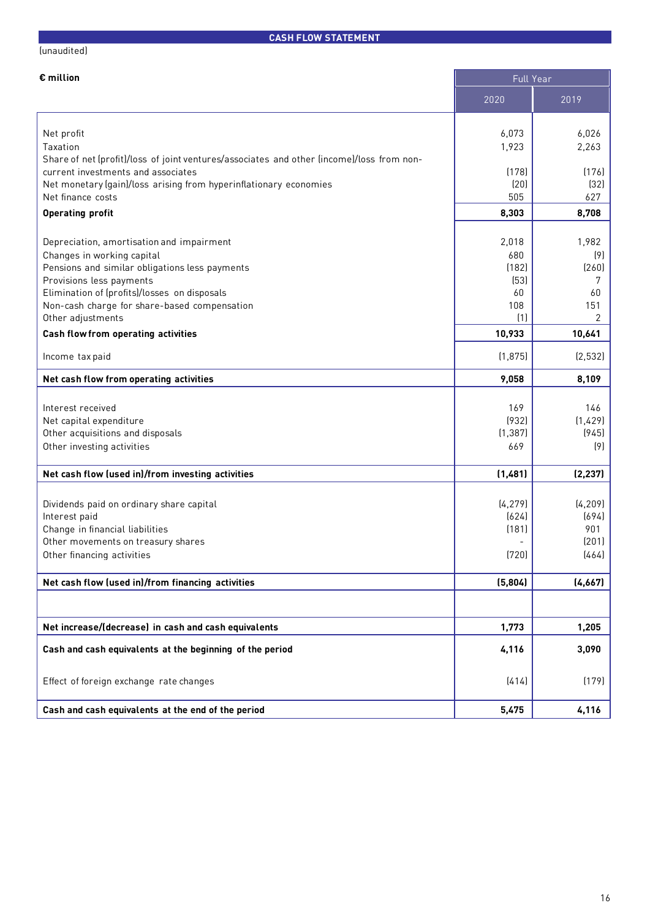# **CASH FLOW STATEMENT**

| $\epsilon$ million                                                                        | <b>Full Year</b> |          |
|-------------------------------------------------------------------------------------------|------------------|----------|
|                                                                                           | 2020             | 2019     |
|                                                                                           |                  |          |
| Net profit                                                                                | 6,073            | 6,026    |
| Taxation                                                                                  | 1,923            | 2,263    |
| Share of net (profit)/loss of joint ventures/associates and other (income)/loss from non- |                  |          |
| current investments and associates                                                        | (178)            | (176)    |
| Net monetary (gain)/loss arising from hyperinflationary economies                         | (20)             | (32)     |
| Net finance costs                                                                         | 505              | 627      |
| <b>Operating profit</b>                                                                   | 8,303            | 8,708    |
|                                                                                           |                  |          |
| Depreciation, amortisation and impairment                                                 | 2,018            | 1,982    |
| Changes in working capital                                                                | 680              | (9)      |
| Pensions and similar obligations less payments                                            | (182)            | (260)    |
| Provisions less payments                                                                  | (53)             | 7        |
| Elimination of (profits)/losses on disposals                                              | 60               | 60       |
| Non-cash charge for share-based compensation                                              | 108              | 151      |
| Other adjustments                                                                         | (1)              | 2        |
| <b>Cash flow from operating activities</b>                                                | 10,933           | 10,641   |
| Income tax paid                                                                           | (1, 875)         | (2, 532) |
| Net cash flow from operating activities                                                   | 9,058            | 8,109    |
|                                                                                           |                  |          |
| Interest received                                                                         | 169              | 146      |
| Net capital expenditure                                                                   | [932]            | (1,429)  |
| Other acquisitions and disposals                                                          | (1, 387)         | (945)    |
| Other investing activities                                                                | 669              | (9)      |
|                                                                                           |                  |          |
| Net cash flow (used in)/from investing activities                                         | (1,481)          | (2, 237) |
|                                                                                           |                  |          |
| Dividends paid on ordinary share capital                                                  | (4, 279)         | (4, 209) |
| Interest paid                                                                             | (624)            | (694)    |
| Change in financial liabilities                                                           | (181)            | 901      |
| Other movements on treasury shares                                                        |                  | (201)    |
| Other financing activities                                                                | (720)            | (464)    |
| Net cash flow (used in)/from financing activities                                         | (5,804)          | (4,667)  |
|                                                                                           |                  |          |
|                                                                                           |                  |          |
| Net increase/(decrease) in cash and cash equivalents                                      | 1,773            | 1,205    |
| Cash and cash equivalents at the beginning of the period                                  | 4,116            | 3,090    |
| Effect of foreign exchange rate changes                                                   | (414)            | (179)    |
| Cash and cash equivalents at the end of the period                                        | 5,475            | 4,116    |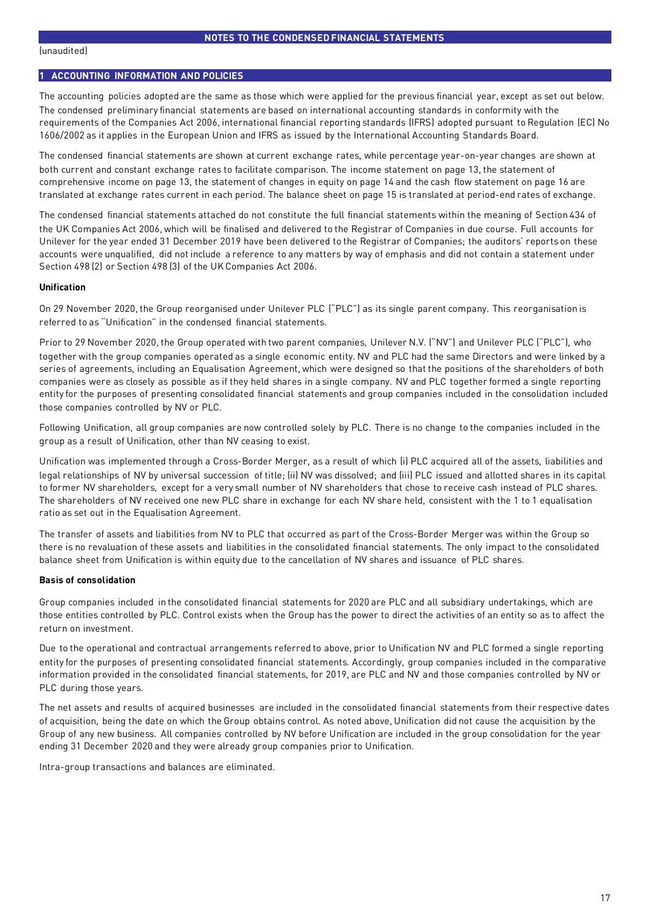### **1 ACCOUNTING INFORMATION AND POLICIES**

The accounting policies adopted are the same as those which were applied for the previous financial year, except as set out below. The condensed preliminary financial statements are based on international accounting standards in conformity with the requirements of the Companies Act 2006, international financial reporting standards (IFRS) adopted pursuant to Regulation (EC) No 1606/2002 as it applies in the European Union and IFRS as issued by the International Accounting Standards Board.

The condensed financial statements are shown at current exchange rates, while percentage year-on-year changes are shown at both current and constant exchange rates to facilitate comparison. The income statement on page 13, the statement of comprehensive income on page 13, the statement of changes in equity on page 14 and the cash flow statement on page 16 are translated at exchange rates current in each period. The balance sheet on page 15 is translated at period-end rates of exchange.

The condensed financial statements attached do not constitute the full financial statements within the meaning of Section 434 of the UK Companies Act 2006, which will be finalised and delivered to the Registrar of Companies in due course. Full accounts for Unilever for the year ended 31 December 2019 have been delivered to the Registrar of Companies; the auditors' reports on these accounts were unqualified, did not include a reference to any matters by way of emphasis and did not contain a statement under Section 498 (2) or Section 498 (3) of the UK Companies Act 2006.

### **Unification**

On 29 November 2020, the Group reorganised under Unilever PLC ("PLC") as its single parent company. This reorganisation is referred to as "Unification" in the condensed financial statements.

Prior to 29 November 2020, the Group operated with two parent companies, Unilever N.V. ("NV") and Unilever PLC ("PLC"), who together with the group companies operated as a single economic entity. NV and PLC had the same Directors and were linked by a series of agreements, including an Equalisation Agreement, which were designed so that the positions of the shareholders of both companies were as closely as possible as if they held shares in a single company. NV and PLC together formed a single reporting entity for the purposes of presenting consolidated financial statements and group companies included in the consolidation included those companies controlled by NV or PLC.

Following Unification, all group companies are now controlled solely by PLC. There is no change to the companies included in the group as a result of Unification, other than NV ceasing to exist.

Unification was implemented through a Cross-Border Merger, as a result of which (i) PLC acquired all of the assets, liabilities and legal relationships of NV by universal succession of title; (ii) NV was dissolved; and (iii) PLC issued and allotted shares in its capital to former NV shareholders, except for a very small number of NV shareholders that chose to receive cash instead of PLC shares. The shareholders of NV received one new PLC share in exchange for each NV share held, consistent with the 1 to 1 equalisation ratio as set out in the Equalisation Agreement.

The transfer of assets and liabilities from NV to PLC that occurred as part of the Cross-Border Merger was within the Group so there is no revaluation of these assets and liabilities in the consolidated financial statements. The only impact to the consolidated balance sheet from Unification is within equity due to the cancellation of NV shares and issuance of PLC shares.

### **Basis of consolidation**

Group companies included in the consolidated financial statements for 2020 are PLC and all subsidiary undertakings, which are those entities controlled by PLC. Control exists when the Group has the power to direct the activities of an entity so as to affect the return on investment.

Due to the operational and contractual arrangements referred to above, prior to Unification NV and PLC formed a single reporting entity for the purposes of presenting consolidated financial statements. Accordingly, group companies included in the comparative information provided in the consolidated financial statements, for 2019, are PLC and NV and those companies controlled by NV or PLC during those years.

The net assets and results of acquired businesses are included in the consolidated financial statements from their respective dates of acquisition, being the date on which the Group obtains control. As noted above, Unification did not cause the acquisition by the Group of any new business. All companies controlled by NV before Unification are included in the group consolidation for the year ending 31 December 2020 and they were already group companies prior to Unification.

Intra-group transactions and balances are eliminated.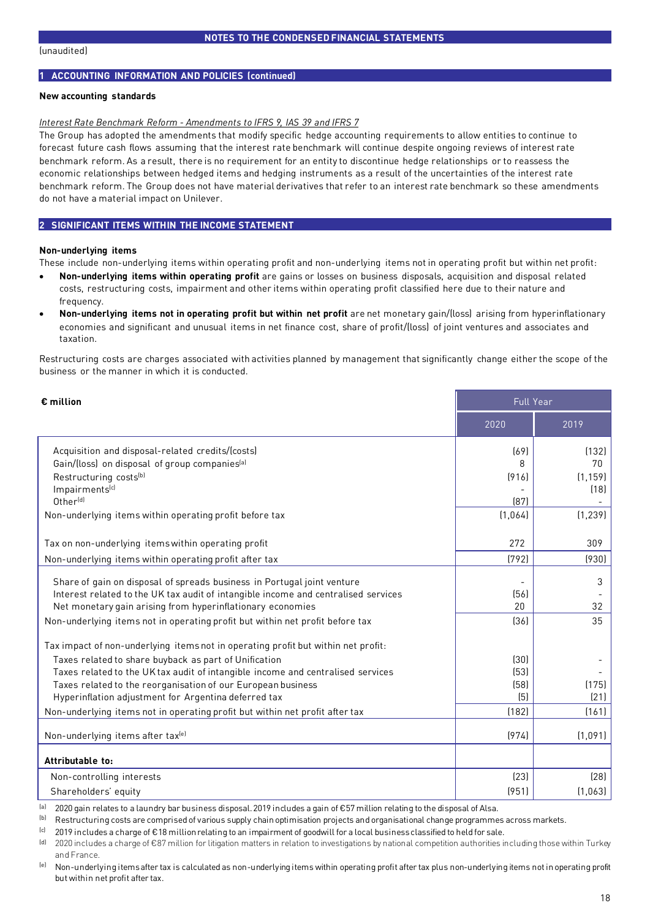### **1 ACCOUNTING INFORMATION AND POLICIES (continued)**

### **New accounting standards**

### *Interest Rate Benchmark Reform - Amendments to IFRS 9, IAS 39 and IFRS 7*

The Group has adopted the amendments that modify specific hedge accounting requirements to allow entities to continue to forecast future cash flows assuming that the interest rate benchmark will continue despite ongoing reviews of interest rate benchmark reform. As a result, there is no requirement for an entity to discontinue hedge relationships or to reassess the economic relationships between hedged items and hedging instruments as a result of the uncertainties of the interest rate benchmark reform. The Group does not have material derivatives that refer to an interest rate benchmark so these amendments do not have a material impact on Unilever.

### **2 SIGNIFICANT ITEMS WITHIN THE INCOME STATEMENT**

### **Non-underlying items**

These include non-underlying items within operating profit and non-underlying items not in operating profit but within net profit: • **Non-underlying items within operating profit** are gains or losses on business disposals, acquisition and disposal related

- costs, restructuring costs, impairment and other items within operating profit classified here due to their nature and frequency.
- **Non-underlying items not in operating profit but within net profit** are net monetary gain/(loss) arising from hyperinflationary economies and significant and unusual items in net finance cost, share of profit/(loss) of joint ventures and associates and taxation.

Restructuring costs are charges associated with activities planned by management that significantly change either the scope of the business or the manner in which it is conducted.

| $\epsilon$ million                                                                                                                                            |         | <b>Full Year</b> |  |  |
|---------------------------------------------------------------------------------------------------------------------------------------------------------------|---------|------------------|--|--|
|                                                                                                                                                               | 2020    | 2019             |  |  |
| Acquisition and disposal-related credits/(costs)                                                                                                              | (69)    | (132)            |  |  |
| Gain/(loss) on disposal of group companies <sup>[a]</sup>                                                                                                     | 8       | 70               |  |  |
| Restructuring costs <sup>[b]</sup>                                                                                                                            | (916)   | (1, 159)         |  |  |
| Impairments <sup>[c]</sup><br>Other <sup>[d]</sup>                                                                                                            | (87)    | (18)             |  |  |
| Non-underlying items within operating profit before tax                                                                                                       | (1,064) | (1, 239)         |  |  |
| Tax on non-underlying items within operating profit                                                                                                           | 272     | 309              |  |  |
| Non-underlying items within operating profit after tax                                                                                                        | (792)   | (930)            |  |  |
|                                                                                                                                                               |         |                  |  |  |
| Share of gain on disposal of spreads business in Portugal joint venture<br>Interest related to the UK tax audit of intangible income and centralised services | (56)    | 3                |  |  |
| Net monetary gain arising from hyperinflationary economies                                                                                                    | 20      | 32               |  |  |
| Non-underlying items not in operating profit but within net profit before tax                                                                                 | (36)    | 35               |  |  |
| Tax impact of non-underlying items not in operating profit but within net profit:                                                                             |         |                  |  |  |
| Taxes related to share buyback as part of Unification                                                                                                         | (30)    |                  |  |  |
| Taxes related to the UK tax audit of intangible income and centralised services                                                                               | (53)    |                  |  |  |
| Taxes related to the reorganisation of our European business                                                                                                  | (58)    | (175)            |  |  |
| Hyperinflation adjustment for Argentina deferred tax                                                                                                          | (5)     | (21)             |  |  |
| Non-underlying items not in operating profit but within net profit after tax                                                                                  | (182)   | (161)            |  |  |
| Non-underlying items after tax <sup>(e)</sup>                                                                                                                 | (974)   | (1,091)          |  |  |
| Attributable to:                                                                                                                                              |         |                  |  |  |
| Non-controlling interests                                                                                                                                     | (23)    | (28)             |  |  |
| Shareholders' equity                                                                                                                                          | (951)   | (1,063)          |  |  |

(a) 2020 gain relates to a laundry bar business disposal. 2019 includes a gain of  $\epsilon$ 57 million relating to the disposal of Alsa.<br>(b) Bestructuring costs are comprised of various supply chain ontimisation projects and or

Restructuring costs are comprised of various supply chain optimisation projects and organisational change programmes across markets.

(c) 2019 includes a charge of €18 million relating to an impairment of goodwill for a local business classified to held for sale.

(d) 2020 includes a charge of €87 million for litigation matters in relation to investigations by national competition authorities including those within Turkey and France.

<sup>(e)</sup> Non-underlying items after tax is calculated as non-underlying items within operating profit after tax plus non-underlying items not in operating profit but within net profit after tax.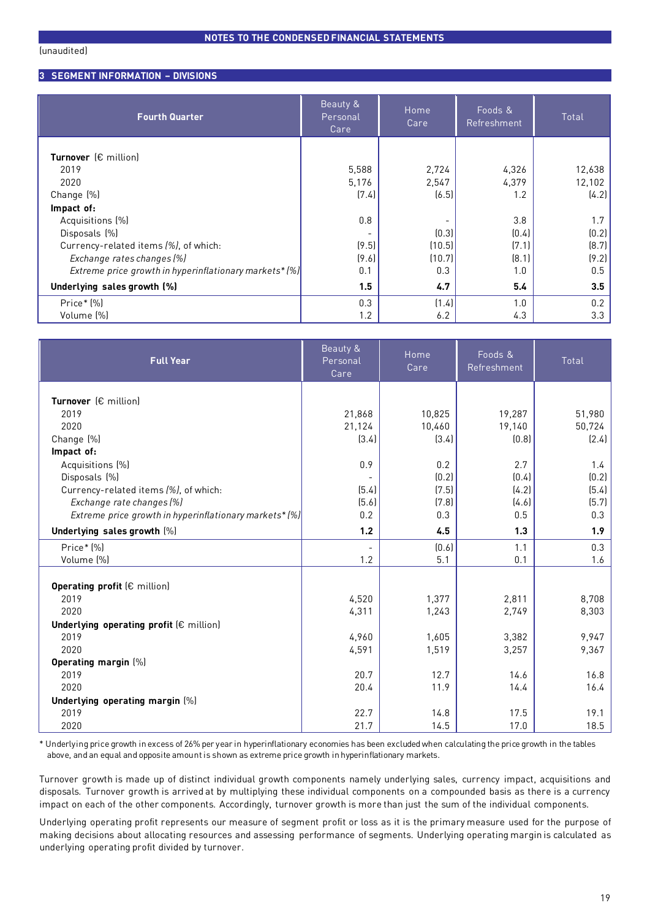# **3 SEGMENT INFORMATION – DIVISIONS**

| <b>Fourth Quarter</b>                                  | Beauty &<br>Personal<br>Care | Home.<br>Care | Foods &<br>Refreshment | Total  |
|--------------------------------------------------------|------------------------------|---------------|------------------------|--------|
|                                                        |                              |               |                        |        |
| Turnover $(\epsilon$ million)<br>2019                  |                              |               |                        |        |
|                                                        | 5,588                        | 2,724         | 4,326                  | 12,638 |
| 2020                                                   | 5,176                        | 2,547         | 4,379                  | 12,102 |
| Change [%]                                             | (7.4)                        | (6.5)         | 1.2                    | (4.2)  |
| Impact of:                                             |                              |               |                        |        |
| Acquisitions (%)                                       | 0.8                          |               | 3.8                    | 1.7    |
| Disposals (%)                                          |                              | (0.3)         | [0.4]                  | (0.2)  |
| Currency-related items (%), of which:                  | (9.5)                        | (10.5)        | (7.1)                  | (8.7)  |
| Exchange rates changes (%)                             | (9.6)                        | (10.7)        | (8.1)                  | (9.2)  |
| Extreme price growth in hyperinflationary markets* (%) | 0.1                          | 0.3           | 1.0                    | 0.5    |
| Underlying sales growth (%)                            | 1.5                          | 4.7           | 5.4                    | 3.5    |
| Price* [%]                                             | 0.3                          | (1.4)         | 1.0                    | 0.2    |
| Volume (%)                                             | 1.2                          | 6.2           | 4.3                    | 3.3    |

| <b>Full Year</b>                                       | Beauty &<br>Personal<br>Care | Home<br>Care     | Foods &<br>Refreshment | Total            |
|--------------------------------------------------------|------------------------------|------------------|------------------------|------------------|
| Turnover (€ million)                                   |                              |                  |                        |                  |
| 2019                                                   |                              |                  |                        |                  |
| 2020                                                   | 21,868<br>21,124             | 10,825<br>10,460 | 19,287<br>19,140       | 51,980<br>50,724 |
| Change [%]                                             | (3.4)                        | (3.4)            | [0.8]                  | (2.4)            |
| Impact of:                                             |                              |                  |                        |                  |
| Acquisitions (%)                                       | 0.9                          | 0.2              | 2.7                    | 1.4              |
| Disposals (%)                                          | $\overline{\phantom{a}}$     | [0.2]            | [0.4]                  | (0.2)            |
| Currency-related items (%), of which:                  | (5.4)                        | (7.5)            | (4.2)                  | (5.4)            |
| Exchange rate changes (%)                              | (5.6)                        | (7.8)            | (4.6)                  | (5.7)            |
| Extreme price growth in hyperinflationary markets* (%) | 0.2                          | 0.3              | 0.5                    | 0.3              |
| Underlying sales growth [%]                            | 1.2                          | 4.5              | 1.3                    | 1.9              |
|                                                        |                              |                  |                        |                  |
| Price* (%)                                             |                              | [0.6]            | 1.1                    | 0.3              |
| Volume [%]                                             | 1.2                          | 5.1              | 0.1                    | 1.6              |
| Operating profit (€ million)                           |                              |                  |                        |                  |
| 2019                                                   | 4,520                        | 1,377            | 2,811                  | 8,708            |
| 2020                                                   | 4,311                        | 1,243            | 2,749                  | 8,303            |
| Underlying operating profit $(\epsilon$ million)       |                              |                  |                        |                  |
| 2019                                                   | 4,960                        | 1,605            | 3,382                  | 9,947            |
| 2020                                                   | 4,591                        | 1,519            | 3,257                  | 9,367            |
| Operating margin [%]                                   |                              |                  |                        |                  |
| 2019                                                   | 20.7                         | 12.7             | 14.6                   | 16.8             |
| 2020                                                   | 20.4                         | 11.9             | 14.4                   | 16.4             |
| Underlying operating margin [%]                        |                              |                  |                        |                  |
| 2019                                                   | 22.7                         | 14.8             | 17.5                   | 19.1             |
| 2020                                                   | 21.7                         | 14.5             | 17.0                   | 18.5             |

\* Underlying price growth in excess of 26% per year in hyperinflationary economies has been excluded when calculating the price growth in the tables above, and an equal and opposite amount is shown as extreme price growth in hyperinflationary markets.

Turnover growth is made up of distinct individual growth components namely underlying sales, currency impact, acquisitions and disposals. Turnover growth is arrived at by multiplying these individual components on a compounded basis as there is a currency impact on each of the other components. Accordingly, turnover growth is more than just the sum of the individual components.

Underlying operating profit represents our measure of segment profit or loss as it is the primary measure used for the purpose of making decisions about allocating resources and assessing performance of segments. Underlying operating margin is calculated as underlying operating profit divided by turnover.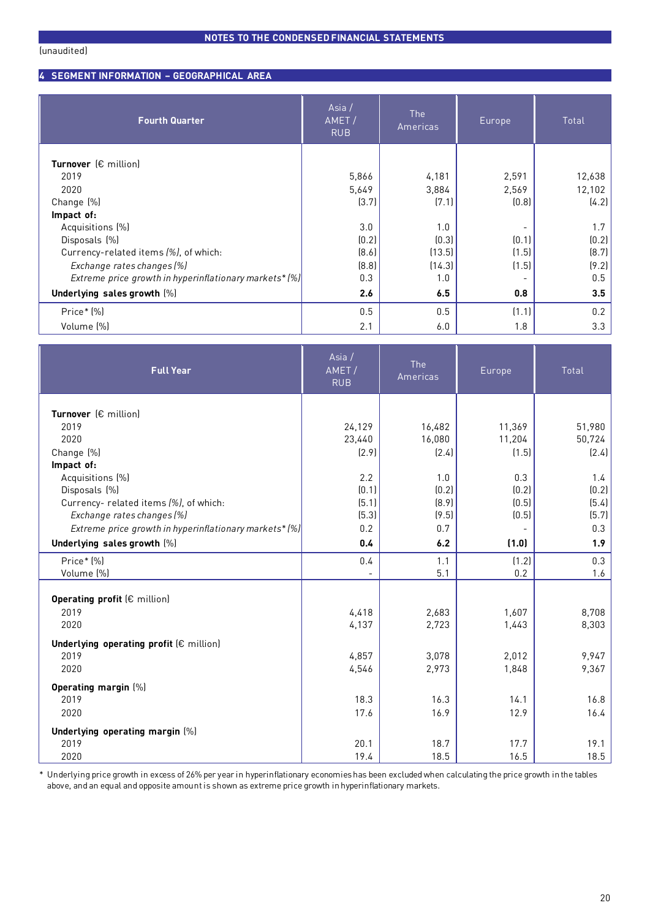# **4 SEGMENT INFORMATION – GEOGRAPHICAL AREA**

| <b>Fourth Quarter</b>                                  | Asia /<br>AMET/<br><b>RUB</b> | <b>The</b><br>Americas | Europe | Total  |
|--------------------------------------------------------|-------------------------------|------------------------|--------|--------|
| <b>Turnover</b> $\in$ million)                         |                               |                        |        |        |
| 2019                                                   | 5,866                         | 4,181                  | 2,591  | 12,638 |
| 2020                                                   | 5,649                         | 3,884                  | 2,569  | 12,102 |
| Change [%]                                             | (3.7)                         | (7.1)                  | (0.8)  | (4.2)  |
| Impact of:                                             |                               |                        |        |        |
| Acquisitions (%)                                       | 3.0                           | 1.0                    |        | 1.7    |
| Disposals (%)                                          | (0.2)                         | (0.3)                  | (0.1)  | [0.2]  |
| Currency-related items (%), of which:                  | [8.6]                         | (13.5)                 | (1.5)  | (8.7)  |
| Exchange rates changes (%)                             | (8.8)                         | (14.3)                 | (1.5)  | (9.2)  |
| Extreme price growth in hyperinflationary markets* (%) | 0.3                           | 1.0                    |        | 0.5    |
| Underlying sales growth [%]                            | 2.6                           | 6.5                    | 0.8    | 3.5    |
| Price* (%)                                             | 0.5                           | 0.5                    | (1.1)  | 0.2    |
| Volume (%)                                             | 2.1                           | 6.0                    | 1.8    | 3.3    |

| <b>Full Year</b>                                       | Asia /<br>AMET/<br><b>RUB</b> | The<br>Americas |                | Total          |
|--------------------------------------------------------|-------------------------------|-----------------|----------------|----------------|
| Turnover (€ million)                                   |                               |                 |                |                |
| 2019                                                   | 24,129                        | 16,482          | 11,369         | 51,980         |
| 2020                                                   | 23,440                        | 16,080          | 11,204         | 50,724         |
| Change [%]                                             | (2.9)                         | (2.4)           | (1.5)          | (2.4)          |
| Impact of:                                             |                               |                 |                |                |
| Acquisitions (%)                                       | 2.2                           | 1.0             | 0.3            | 1.4            |
| Disposals (%)                                          | (0.1)                         | (0.2)           | (0.2)          | [0.2]          |
| Currency- related items (%), of which:                 | (5.1)                         | (8.9)           | (0.5)          | (5.4)          |
| Exchange rates changes (%)                             | (5.3)                         | (9.5)           | (0.5)          | (5.7)          |
| Extreme price growth in hyperinflationary markets* (%) | 0.2                           | 0.7             |                | 0.3            |
| Underlying sales growth [%]                            | 0.4                           | 6.2             | (1.0)          | 1.9            |
| Price* [%]                                             | 0.4                           | 1.1             | (1.2)          | 0.3            |
| Volume [%]                                             |                               | 5.1             | 0.2            | 1.6            |
|                                                        |                               |                 |                |                |
| Operating profit (€ million)                           |                               |                 |                |                |
| 2019<br>2020                                           | 4,418<br>4,137                | 2,683<br>2,723  | 1,607<br>1,443 | 8,708<br>8,303 |
|                                                        |                               |                 |                |                |
| Underlying operating profit (€ million)                |                               |                 |                |                |
| 2019                                                   | 4,857                         | 3,078           | 2,012          | 9,947          |
| 2020                                                   | 4,546                         | 2,973           | 1,848          | 9,367          |
| Operating margin [%]                                   |                               |                 |                |                |
| 2019                                                   | 18.3                          | 16.3            | 14.1           | 16.8           |
| 2020                                                   | 17.6                          | 16.9            | 12.9           | 16.4           |
| Underlying operating margin [%]                        |                               |                 |                |                |
| 2019                                                   | 20.1                          | 18.7            | 17.7           | 19.1           |
| 2020                                                   | 19.4                          | 18.5            | 16.5           | 18.5           |

\* Underlying price growth in excess of 26% per year in hyperinflationary economies has been excluded when calculating the price growth in the tables above, and an equal and opposite amount is shown as extreme price growth in hyperinflationary markets.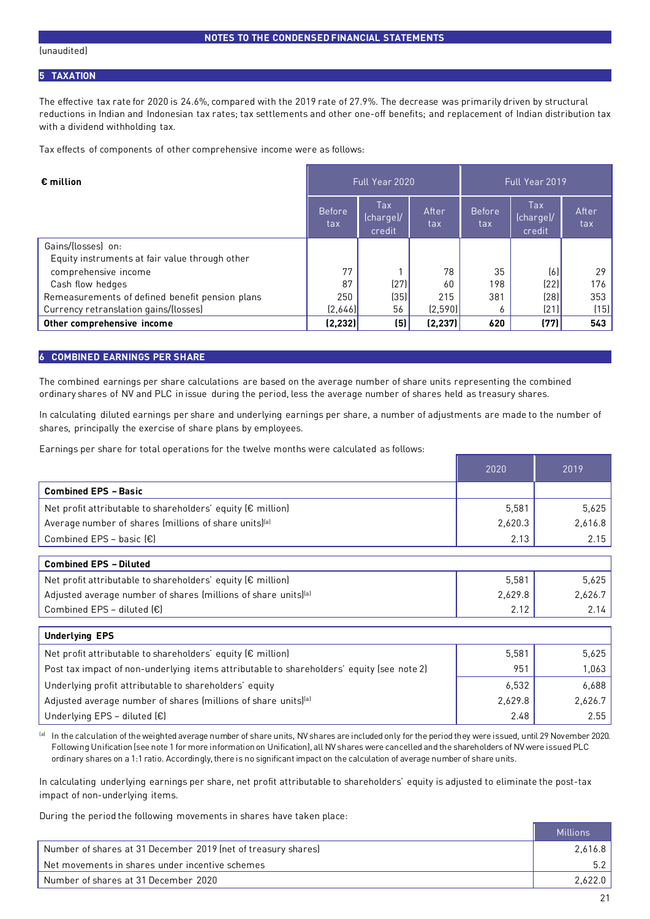## **5 TAXATION**

The effective tax rate for 2020 is 24.6%, compared with the 2019 rate of 27.9%. The decrease was primarily driven by structural reductions in Indian and Indonesian tax rates; tax settlements and other one-off benefits; and replacement of Indian distribution tax with a dividend withholding tax.

Tax effects of components of other comprehensive income were as follows:

| $\epsilon$ million                              | Full Year 2020       |                            |              | Full Year 2019       |                            |              |
|-------------------------------------------------|----------------------|----------------------------|--------------|----------------------|----------------------------|--------------|
|                                                 | <b>Before</b><br>tax | Tax<br>(charge)/<br>credit | After<br>tax | <b>Before</b><br>tax | Tax<br>(charge)/<br>credit | After<br>tax |
| Gains/(losses) on:                              |                      |                            |              |                      |                            |              |
| Equity instruments at fair value through other  |                      |                            |              |                      |                            |              |
| comprehensive income                            | 77                   |                            | 78           | 35                   | (6)                        | 29           |
| Cash flow hedges                                | 87                   | (27)                       | 60           | 198                  | (22)                       | 176          |
| Remeasurements of defined benefit pension plans | 250                  | (35)                       | 215          | 381                  | (28)                       | 353          |
| Currency retranslation gains/(losses)           | [2,646]              | 56                         | (2,590)      | <sub>6</sub>         | (21)                       | (15)         |
| Other comprehensive income                      | (2, 232)             | (5)                        | (2, 237)     | 620                  | (77)                       | 543          |

### **6 COMBINED EARNINGS PER SHARE**

The combined earnings per share calculations are based on the average number of share units representing the combined ordinary shares of NV and PLC in issue during the period, less the average number of shares held as treasury shares.

In calculating diluted earnings per share and underlying earnings per share, a number of adjustments are made to the number of shares, principally the exercise of share plans by employees.

Earnings per share for total operations for the twelve months were calculated as follows:

|                                                                                                                                                                                                                                       | 2020    | 2019                        |
|---------------------------------------------------------------------------------------------------------------------------------------------------------------------------------------------------------------------------------------|---------|-----------------------------|
| <b>Combined EPS - Basic</b>                                                                                                                                                                                                           |         |                             |
| Net profit attributable to shareholders' equity ( $\epsilon$ million)                                                                                                                                                                 | 5,581   | 5,625                       |
| Average number of shares (millions of share units)[a]                                                                                                                                                                                 | 2,620.3 | 2,616.8                     |
| Combined EPS - basic $(\epsilon)$                                                                                                                                                                                                     | 2.13    | 2.15                        |
|                                                                                                                                                                                                                                       |         |                             |
| <b>Combined EPS - Diluted</b>                                                                                                                                                                                                         |         |                             |
| Net profit attributable to shareholders' equity ( $\epsilon$ million)                                                                                                                                                                 | 5.581   | 5,625                       |
| $\mathbf{A}$ and $\mathbf{A}$ are a set of the set of the set of the set of the set of the set of the set of the set of the set of the set of the set of the set of the set of the set of the set of the set of the set of the set of | 0.1000  | $\sim$ $\sim$ $\sim$ $\sim$ |

| $\sim$ . The contracts is denoted to be a contracted by a contract of the contracted by $\sim$ |         | $\sim$ . $\sim$ . |
|------------------------------------------------------------------------------------------------|---------|-------------------|
| $^{\shortmid}$ Adjusted average number of shares (millions of share units) $^{\text{(a)}}$     | 2,629.8 | 2.626.7           |
| $^\textsf{I}$ Combined EPS – diluted (€) $^\textsf{I}$                                         |         | 2.14              |
|                                                                                                |         |                   |

| <b>Underlying EPS</b>                                                                     |         |         |
|-------------------------------------------------------------------------------------------|---------|---------|
| Net profit attributable to shareholders' equity ( $\epsilon$ million)                     | 5,581   | 5,625   |
| Post tax impact of non-underlying items attributable to shareholders' equity (see note 2) | 951     | 1.063   |
| Underlying profit attributable to shareholders' equity                                    | 6,532   | 6,688   |
| Adjusted average number of shares (millions of share units) <sup>(a)</sup>                | 2,629.8 | 2,626.7 |
| Underlying EPS - diluted $(\epsilon)$                                                     | 2.48    | 2.55    |

<sup>(a)</sup> In the calculation of the weighted average number of share units, NV shares are included only for the period they were issued, until 29 November 2020. Following Unification (see note 1 for more information on Unification), all NV shares were cancelled and the shareholders of NV were issued PLC ordinary shares on a 1:1 ratio. Accordingly, there is no significant impact on the calculation of average number of share units.

In calculating underlying earnings per share, net profit attributable to shareholders' equity is adjusted to eliminate the post-tax impact of non-underlying items.

During the period the following movements in shares have taken place:

|                                                               | Millions |
|---------------------------------------------------------------|----------|
| Number of shares at 31 December 2019 (net of treasury shares) | 2.616.8  |
| Net movements in shares under incentive schemes               |          |
| Number of shares at 31 December 2020                          |          |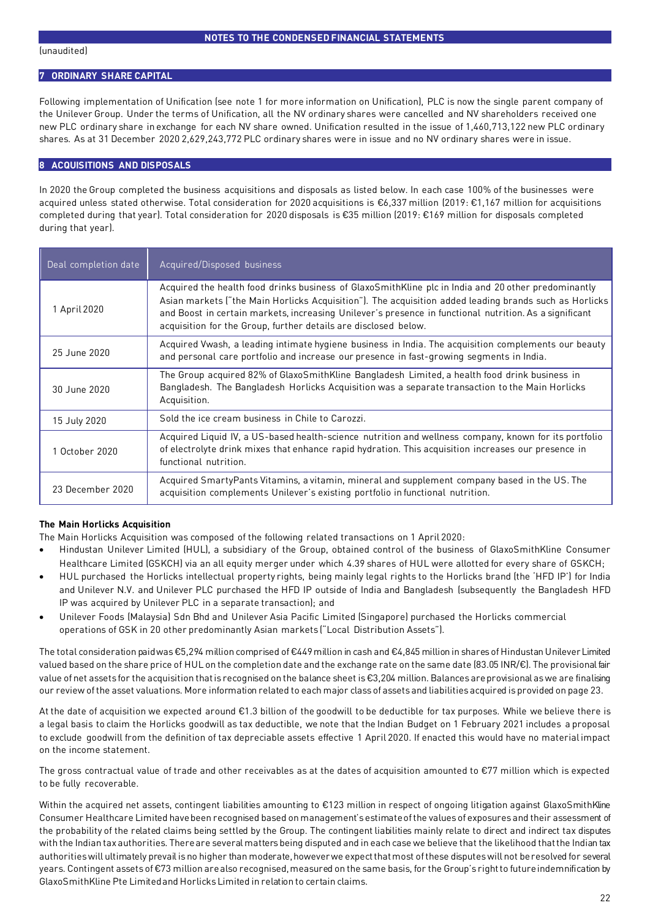### **7 ORDINARY SHARE CAPITAL**

Following implementation of Unification (see note 1 for more information on Unification), PLC is now the single parent company of the Unilever Group. Under the terms of Unification, all the NV ordinary shares were cancelled and NV shareholders received one new PLC ordinary share in exchange for each NV share owned. Unification resulted in the issue of 1,460,713,122 new PLC ordinary shares. As at 31 December 2020 2,629,243,772 PLC ordinary shares were in issue and no NV ordinary shares were in issue.

### **8 ACQUISITIONS AND DISPOSALS**

In 2020 the Group completed the business acquisitions and disposals as listed below. In each case 100% of the businesses were acquired unless stated otherwise. Total consideration for 2020 acquisitions is €6,337 million (2019: €1,167 million for acquisitions completed during that year). Total consideration for 2020 disposals is €35 million (2019: €169 million for disposals completed during that year).

| Deal completion date | Acquired/Disposed business                                                                                                                                                                                                                                                                                                                                                                 |
|----------------------|--------------------------------------------------------------------------------------------------------------------------------------------------------------------------------------------------------------------------------------------------------------------------------------------------------------------------------------------------------------------------------------------|
| 1 April 2020         | Acquired the health food drinks business of GlaxoSmithKline plc in India and 20 other predominantly<br>Asian markets ("the Main Horlicks Acquisition"). The acquisition added leading brands such as Horlicks<br>and Boost in certain markets, increasing Unilever's presence in functional nutrition. As a significant<br>acquisition for the Group, further details are disclosed below. |
| 25 June 2020         | Acquired Vwash, a leading intimate hygiene business in India. The acquisition complements our beauty<br>and personal care portfolio and increase our presence in fast-growing segments in India.                                                                                                                                                                                           |
| 30 June 2020         | The Group acquired 82% of GlaxoSmithKline Bangladesh Limited, a health food drink business in<br>Bangladesh. The Bangladesh Horlicks Acquisition was a separate transaction to the Main Horlicks<br>Acquisition.                                                                                                                                                                           |
| 15 July 2020         | Sold the ice cream business in Chile to Carozzi.                                                                                                                                                                                                                                                                                                                                           |
| 1 October 2020       | Acquired Liquid IV, a US-based health-science nutrition and wellness company, known for its portfolio<br>of electrolyte drink mixes that enhance rapid hydration. This acquisition increases our presence in<br>functional nutrition.                                                                                                                                                      |
| 23 December 2020     | Acquired SmartyPants Vitamins, a vitamin, mineral and supplement company based in the US. The<br>acquisition complements Unilever's existing portfolio infunctional nutrition.                                                                                                                                                                                                             |

### **The Main Horlicks Acquisition**

The Main Horlicks Acquisition was composed of the following related transactions on 1 April 2020:

- Hindustan Unilever Limited (HUL), a subsidiary of the Group, obtained control of the business of GlaxoSmithKline Consumer Healthcare Limited (GSKCH) via an all equity merger under which 4.39 shares of HUL were allotted for every share of GSKCH;
- HUL purchased the Horlicks intellectual property rights, being mainly legal rights to the Horlicks brand (the 'HFD IP') for India and Unilever N.V. and Unilever PLC purchased the HFD IP outside of India and Bangladesh (subsequently the Bangladesh HFD IP was acquired by Unilever PLC in a separate transaction); and
- Unilever Foods (Malaysia) Sdn Bhd and Unilever Asia Pacific Limited (Singapore) purchased the Horlicks commercial operations of GSK in 20 other predominantly Asian markets ("Local Distribution Assets").

The total consideration paid was €5,294 million comprised of €449 million in cash and €4,845 million in shares of Hindustan Unilever Limited valued based on the share price of HUL on the completion date and the exchange rate on the same date (83.05 INR/€). The provisional fair value of net assets for the acquisition that is recognised on the balance sheet is €3,204 million. Balances are provisional as we are finalising our review of the asset valuations. More information related to each major class of assets and liabilities acquired is provided on page 23.

At the date of acquisition we expected around €1.3 billion of the goodwill to be deductible for tax purposes. While we believe there is a legal basis to claim the Horlicks goodwill as tax deductible, we note that the Indian Budget on 1 February 2021 includes a proposal to exclude goodwill from the definition of tax depreciable assets effective 1 April 2020. If enacted this would have no material impact on the income statement.

The gross contractual value of trade and other receivables as at the dates of acquisition amounted to €77 million which is expected to be fully recoverable.

Within the acquired net assets, contingent liabilities amounting to €123 million in respect of ongoing litigation against GlaxoSmithKline Consumer Healthcare Limited have been recognised based on management's estimate of the values of exposures and their assessment of the probability of the related claims being settled by the Group. The contingent liabilities mainly relate to direct and indirect tax disputes with the Indian tax authorities. There are several matters being disputed and in each case we believe that the likelihood that the Indian tax authorities will ultimately prevail is no higher than moderate, however we expect that most of these disputes will not be resolved for several years. Contingent assets of €73 million are also recognised, measured on the same basis, for the Group's right to future indemnification by GlaxoSmithKline Pte Limited and Horlicks Limited in relation to certain claims.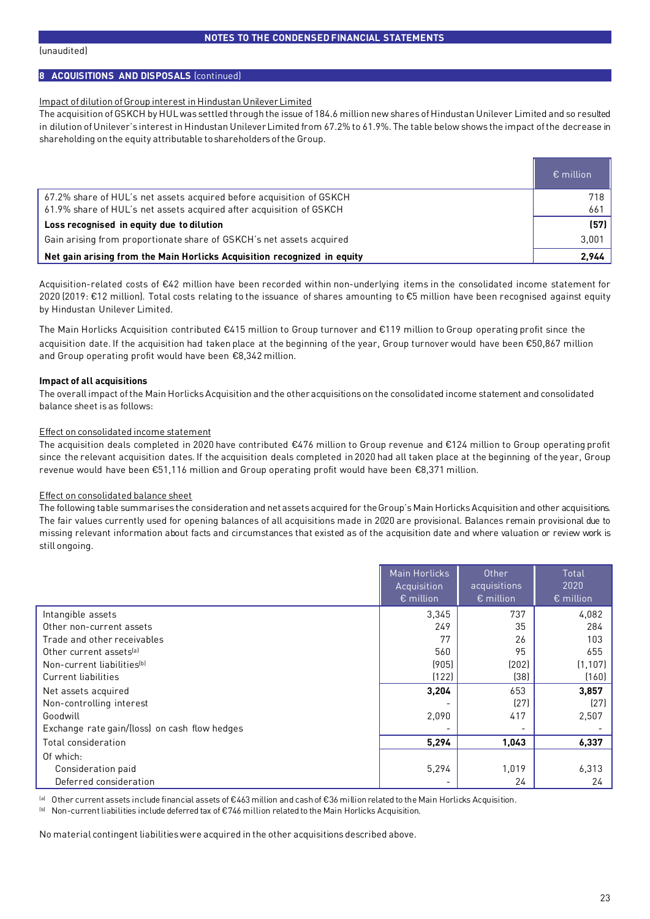### **8 ACQUISITIONS AND DISPOSALS** (continued)

### Impact of dilution of Group interest in Hindustan Unilever Limited

The acquisition of GSKCH by HUL was settled through the issue of 184.6 million new shares of Hindustan Unilever Limited and so resulted in dilution of Unilever's interest in Hindustan Unilever Limited from 67.2% to 61.9%. The table below shows the impact of the decrease in shareholding on the equity attributable to shareholders of the Group.

|                                                                          | $\epsilon$ million |
|--------------------------------------------------------------------------|--------------------|
| 67.2% share of HUL's net assets acquired before acquisition of GSKCH     | 718                |
| 61.9% share of HUL's net assets acquired after acquisition of GSKCH      | 661                |
| Loss recognised in equity due to dilution                                | (57)               |
| Gain arising from proportionate share of GSKCH's net assets acquired     | 3,001              |
| Net gain arising from the Main Horlicks Acquisition recognized in equity | 2,944              |

Acquisition-related costs of €42 million have been recorded within non-underlying items in the consolidated income statement for 2020 (2019: €12 million). Total costs relating to the issuance of shares amounting to €5 million have been recognised against equity by Hindustan Unilever Limited.

The Main Horlicks Acquisition contributed €415 million to Group turnover and €119 million to Group operating profit since the acquisition date. If the acquisition had taken place at the beginning of the year, Group turnover would have been €50,867 million and Group operating profit would have been €8,342 million.

### **Impact of all acquisitions**

The overall impact of the Main Horlicks Acquisition and the other acquisitions on the consolidated income statement and consolidated balance sheet is as follows:

### Effect on consolidated income statement

The acquisition deals completed in 2020 have contributed €476 million to Group revenue and €124 million to Group operating profit since the relevant acquisition dates. If the acquisition deals completed in 2020 had all taken place at the beginning of the year, Group revenue would have been €51,116 million and Group operating profit would have been €8,371 million.

### Effect on consolidated balance sheet

The following table summarises the consideration and net assets acquired for the Group's Main Horlicks Acquisition and other acquisitions. The fair values currently used for opening balances of all acquisitions made in 2020 are provisional. Balances remain provisional due to missing relevant information about facts and circumstances that existed as of the acquisition date and where valuation or review work is still ongoing.

|                                               | Main Horlicks<br>Acquisition | Other<br>acquisitions | Total<br>2020      |
|-----------------------------------------------|------------------------------|-----------------------|--------------------|
|                                               | $\epsilon$ million           | $\epsilon$ million    | $\epsilon$ million |
| Intangible assets                             | 3,345                        | 737                   | 4,082              |
| Other non-current assets                      | 249                          | 35                    | 284                |
| Trade and other receivables                   | 77                           | 26                    | 103                |
| Other current assets <sup>[a]</sup>           | 560                          | 95                    | 655                |
| Non-current liabilities <sup>(b)</sup>        | (905)                        | (202)                 | (1, 107)           |
| Current liabilities                           | (122)                        | (38)                  | (160)              |
| Net assets acquired                           | 3,204                        | 653                   | 3,857              |
| Non-controlling interest                      |                              | (27)                  | (27)               |
| Goodwill                                      | 2,090                        | 417                   | 2,507              |
| Exchange rate gain/(loss) on cash flow hedges |                              |                       |                    |
| Total consideration                           | 5,294                        | 1,043                 | 6,337              |
| Of which:                                     |                              |                       |                    |
| Consideration paid                            | 5,294                        | 1,019                 | 6,313              |
| Deferred consideration                        |                              | 24                    | 24                 |

(a) Other current assets include financial assets of €463 million and cash of €36 millionrelated to the Main Horlicks Acquisition.

(b) Non-current liabilities include deferred tax of €746 million related to the Main Horlicks Acquisition.

No material contingent liabilities were acquired in the other acquisitions described above.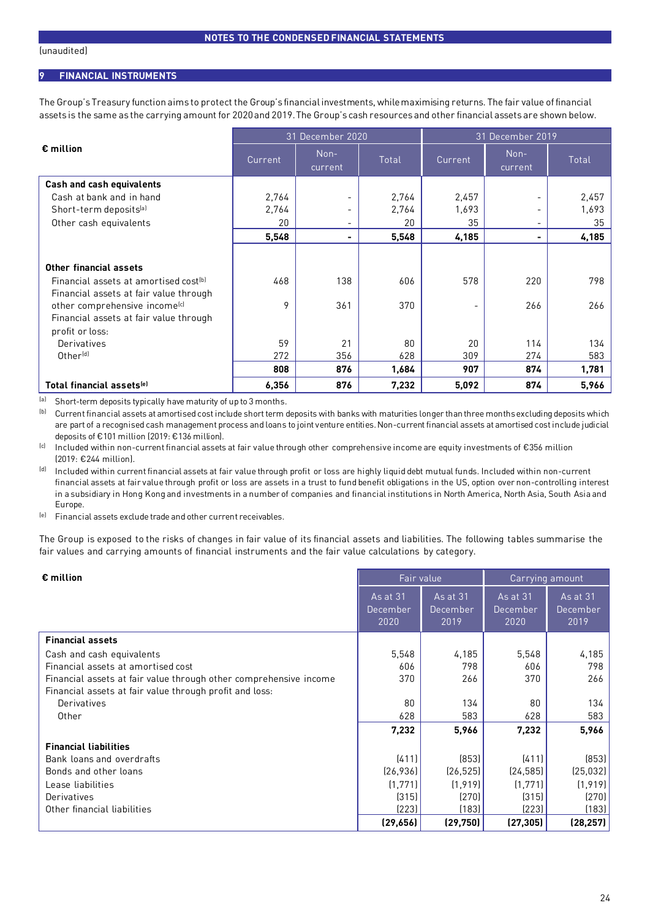### **9 FINANCIAL INSTRUMENTS**

The Group's Treasury function aims to protect the Group's financial investments, while maximising returns. The fair value of financial assets is the same as the carrying amount for 2020 and 2019. The Group's cash resources and other financial assets are shown below.

|                                                   |         | 31 December 2020         |       |         | 31 December 2019 |       |
|---------------------------------------------------|---------|--------------------------|-------|---------|------------------|-------|
| $\epsilon$ million                                | Current | Non-<br>current          | Total | Current | Non-<br>current  | Total |
| <b>Cash and cash equivalents</b>                  |         |                          |       |         |                  |       |
| Cash at bank and in hand                          | 2,764   | $\qquad \qquad -$        | 2,764 | 2,457   |                  | 2,457 |
| Short-term deposits[a]                            | 2,764   | $\overline{\phantom{a}}$ | 2,764 | 1,693   | -                | 1,693 |
| Other cash equivalents                            | 20      | $\overline{\phantom{a}}$ | 20    | 35      |                  | 35    |
|                                                   | 5,548   | $\blacksquare$           | 5,548 | 4,185   | -                | 4,185 |
|                                                   |         |                          |       |         |                  |       |
| Other financial assets                            |         |                          |       |         |                  |       |
| Financial assets at amortised cost <sup>(b)</sup> | 468     | 138                      | 606   | 578     | 220              | 798   |
| Financial assets at fair value through            |         |                          |       |         |                  |       |
| other comprehensive income <sup>[c]</sup>         | 9       | 361                      | 370   |         | 266              | 266   |
| Financial assets at fair value through            |         |                          |       |         |                  |       |
| profit or loss:                                   |         |                          |       |         |                  |       |
| Derivatives                                       | 59      | 21                       | 80    | 20      | 114              | 134   |
| Other <sup>[d]</sup>                              | 272     | 356                      | 628   | 309     | 274              | 583   |
|                                                   | 808     | 876                      | 1,684 | 907     | 874              | 1,781 |
| Total financial assets <sup>(e)</sup>             | 6,356   | 876                      | 7,232 | 5,092   | 874              | 5,966 |

(a) Short-term deposits typically have maturity of up to 3 months.

(b) Current financial assets at amortised cost include short term deposits with banks with maturities longer than three months excluding deposits which are part of a recognised cash management process and loans to joint venture entities. Non-current financial assets at amortised cost include judicial deposits of €101 million (2019: €136 million).

(c) Included within non-current financial assets at fair value through other comprehensive income are equity investments of €356 million (2019: €244 million).

(d) Included within current financial assets at fair value through profit or loss are highly liquid debt mutual funds. Included within non-current financial assets at fair value through profit or loss are assets in a trust to fund benefit obligations in the US, option over non-controlling interest in a subsidiary in Hong Kong and investments in a number of companies and financial institutions in North America, North Asia, South Asia and Europe.

 $\left($ <sup>e)</sup> Financial assets exclude trade and other current receivables.

The Group is exposed to the risks of changes in fair value of its financial assets and liabilities. The following tables summarise the fair values and carrying amounts of financial instruments and the fair value calculations by category.

| $\epsilon$ million                                                | Fair value                     |                              | Carrying amount                     |                                     |
|-------------------------------------------------------------------|--------------------------------|------------------------------|-------------------------------------|-------------------------------------|
|                                                                   | As at $31$<br>December<br>2020 | As at 31<br>December<br>2019 | <b>As at 31</b><br>December<br>2020 | <b>As at 31</b><br>December<br>2019 |
| <b>Financial assets</b>                                           |                                |                              |                                     |                                     |
| Cash and cash equivalents                                         | 5,548                          | 4,185                        | 5,548                               | 4,185                               |
| Financial assets at amortised cost                                | 606                            | 798                          | 606                                 | 798                                 |
| Financial assets at fair value through other comprehensive income | 370                            | 266                          | 370                                 | 266                                 |
| Financial assets at fair value through profit and loss:           |                                |                              |                                     |                                     |
| Derivatives                                                       | 80                             | 134                          | 80                                  | 134                                 |
| Other                                                             | 628                            | 583                          | 628                                 | 583                                 |
|                                                                   | 7,232                          | 5,966                        | 7,232                               | 5,966                               |
| <b>Financial liabilities</b>                                      |                                |                              |                                     |                                     |
| Bank loans and overdrafts                                         | (411)                          | (853)                        | (411)                               | (853)                               |
| Bonds and other loans                                             | (26, 936)                      | [26, 525]                    | (24, 585)                           | (25, 032)                           |
| Lease liabilities                                                 | (1, 771)                       | (1, 919)                     | (1, 771)                            | (1, 919)                            |
| Derivatives                                                       | (315)                          | (270)                        | (315)                               | (270)                               |
| Other financial liabilities                                       | (223)                          | (183)                        | (223)                               | (183)                               |
|                                                                   | (29, 656)                      | (29, 750)                    | (27, 305)                           | (28,257)                            |